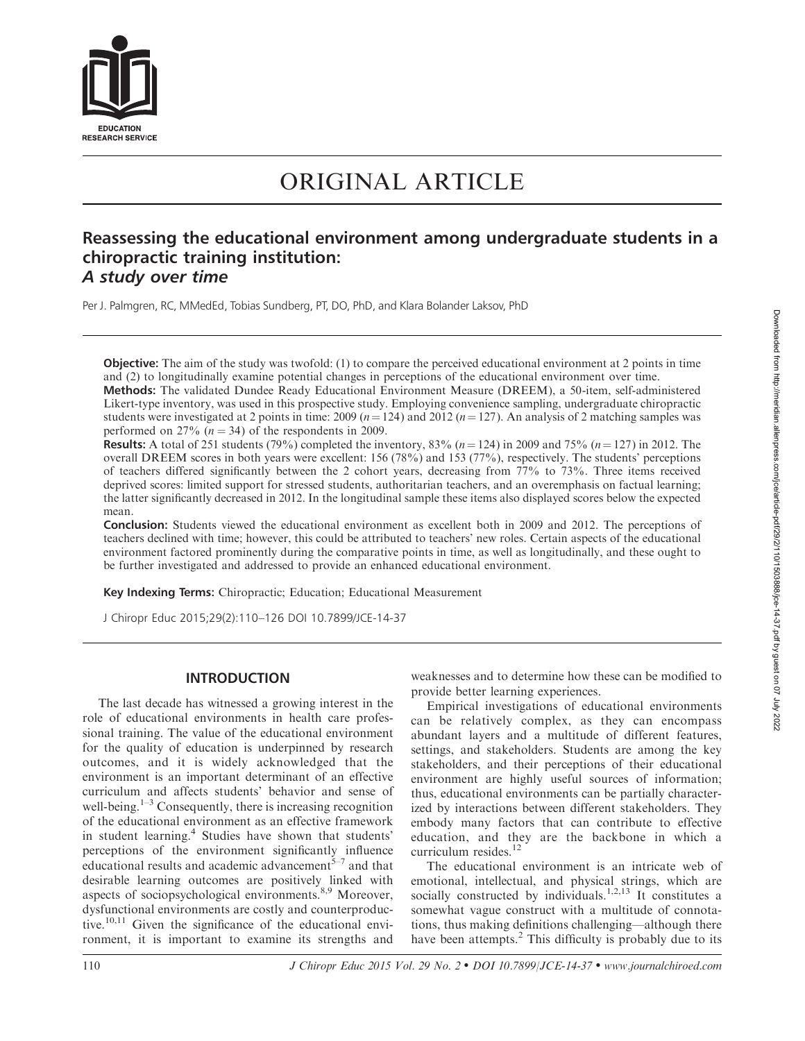

# ORIGINAL ARTICLE

## Reassessing the educational environment among undergraduate students in a chiropractic training institution: A study over time

Per J. Palmgren, RC, MMedEd, Tobias Sundberg, PT, DO, PhD, and Klara Bolander Laksov, PhD

Objective: The aim of the study was twofold: (1) to compare the perceived educational environment at 2 points in time and (2) to longitudinally examine potential changes in perceptions of the educational environment over time.

Methods: The validated Dundee Ready Educational Environment Measure (DREEM), a 50-item, self-administered Likert-type inventory, was used in this prospective study. Employing convenience sampling, undergraduate chiropractic students were investigated at 2 points in time: 2009 ( $n = 124$ ) and 2012 ( $n = 127$ ). An analysis of 2 matching samples was performed on 27%  $(n = 34)$  of the respondents in 2009.

**Results:** A total of 251 students (79%) completed the inventory, 83% ( $n = 124$ ) in 2009 and 75% ( $n = 127$ ) in 2012. The overall DREEM scores in both years were excellent: 156 (78%) and 153 (77%), respectively. The students' perceptions of teachers differed significantly between the 2 cohort years, decreasing from 77% to 73%. Three items received deprived scores: limited support for stressed students, authoritarian teachers, and an overemphasis on factual learning; the latter significantly decreased in 2012. In the longitudinal sample these items also displayed scores below the expected mean.

Conclusion: Students viewed the educational environment as excellent both in 2009 and 2012. The perceptions of teachers declined with time; however, this could be attributed to teachers' new roles. Certain aspects of the educational environment factored prominently during the comparative points in time, as well as longitudinally, and these ought to be further investigated and addressed to provide an enhanced educational environment.

Key Indexing Terms: Chiropractic; Education; Educational Measurement

J Chiropr Educ 2015;29(2):110–126 DOI 10.7899/JCE-14-37

## INTRODUCTION

The last decade has witnessed a growing interest in the role of educational environments in health care professional training. The value of the educational environment for the quality of education is underpinned by research outcomes, and it is widely acknowledged that the environment is an important determinant of an effective curriculum and affects students' behavior and sense of well-being.<sup> $1-3$ </sup> Consequently, there is increasing recognition of the educational environment as an effective framework in student learning.<sup>4</sup> Studies have shown that students' perceptions of the environment significantly influence educational results and academic advancement<sup> $5-7$ </sup> and that desirable learning outcomes are positively linked with aspects of sociopsychological environments.<sup>8,9</sup> Moreover, dysfunctional environments are costly and counterproductive.<sup>10,11</sup> Given the significance of the educational environment, it is important to examine its strengths and weaknesses and to determine how these can be modified to provide better learning experiences.

Empirical investigations of educational environments can be relatively complex, as they can encompass abundant layers and a multitude of different features, settings, and stakeholders. Students are among the key stakeholders, and their perceptions of their educational environment are highly useful sources of information; thus, educational environments can be partially characterized by interactions between different stakeholders. They embody many factors that can contribute to effective education, and they are the backbone in which a curriculum resides. $12$ 

The educational environment is an intricate web of emotional, intellectual, and physical strings, which are socially constructed by individuals.<sup>1,2,13</sup> It constitutes a somewhat vague construct with a multitude of connotations, thus making definitions challenging—although there have been attempts.<sup>2</sup> This difficulty is probably due to its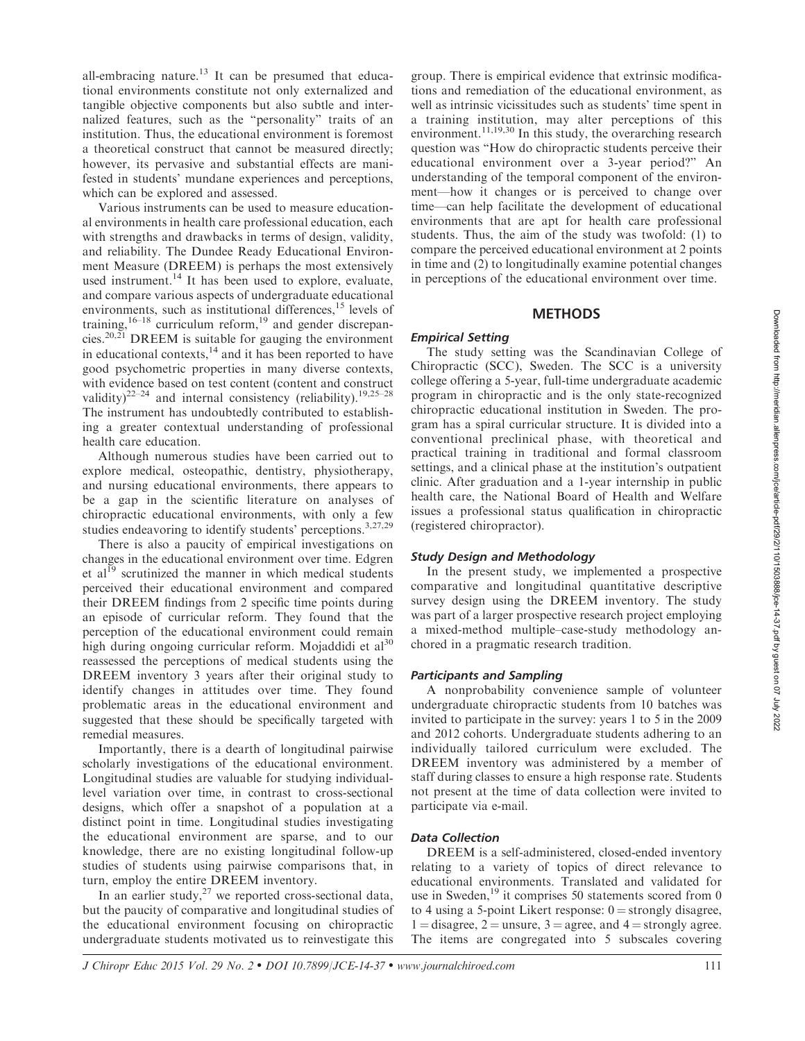all-embracing nature.<sup>13</sup> It can be presumed that educational environments constitute not only externalized and tangible objective components but also subtle and internalized features, such as the ''personality'' traits of an institution. Thus, the educational environment is foremost a theoretical construct that cannot be measured directly; however, its pervasive and substantial effects are manifested in students' mundane experiences and perceptions, which can be explored and assessed.

Various instruments can be used to measure educational environments in health care professional education, each with strengths and drawbacks in terms of design, validity, and reliability. The Dundee Ready Educational Environment Measure (DREEM) is perhaps the most extensively used instrument.<sup>14</sup> It has been used to explore, evaluate, and compare various aspects of undergraduate educational environments, such as institutional differences, $15$  levels of training,  $16-18$  curriculum reform,  $19$  and gender discrepancies.<sup>20,21</sup> DREEM is suitable for gauging the environment in educational contexts, $14$  and it has been reported to have good psychometric properties in many diverse contexts, with evidence based on test content (content and construct validity)<sup>22–24</sup> and internal consistency (reliability).<sup>19,25–28</sup> The instrument has undoubtedly contributed to establishing a greater contextual understanding of professional health care education.

Although numerous studies have been carried out to explore medical, osteopathic, dentistry, physiotherapy, and nursing educational environments, there appears to be a gap in the scientific literature on analyses of chiropractic educational environments, with only a few studies endeavoring to identify students' perceptions.<sup>3,27,29</sup>

There is also a paucity of empirical investigations on changes in the educational environment over time. Edgren et al<sup>19</sup> scrutinized the manner in which medical students perceived their educational environment and compared their DREEM findings from 2 specific time points during an episode of curricular reform. They found that the perception of the educational environment could remain high during ongoing curricular reform. Mojaddidi et  $al^{30}$ reassessed the perceptions of medical students using the DREEM inventory 3 years after their original study to identify changes in attitudes over time. They found problematic areas in the educational environment and suggested that these should be specifically targeted with remedial measures.

Importantly, there is a dearth of longitudinal pairwise scholarly investigations of the educational environment. Longitudinal studies are valuable for studying individuallevel variation over time, in contrast to cross-sectional designs, which offer a snapshot of a population at a distinct point in time. Longitudinal studies investigating the educational environment are sparse, and to our knowledge, there are no existing longitudinal follow-up studies of students using pairwise comparisons that, in turn, employ the entire DREEM inventory.

In an earlier study, $27$  we reported cross-sectional data, but the paucity of comparative and longitudinal studies of the educational environment focusing on chiropractic undergraduate students motivated us to reinvestigate this group. There is empirical evidence that extrinsic modifications and remediation of the educational environment, as well as intrinsic vicissitudes such as students' time spent in a training institution, may alter perceptions of this environment.<sup>11,19,30</sup> In this study, the overarching research question was ''How do chiropractic students perceive their educational environment over a 3-year period?'' An understanding of the temporal component of the environment—how it changes or is perceived to change over time—can help facilitate the development of educational environments that are apt for health care professional students. Thus, the aim of the study was twofold: (1) to compare the perceived educational environment at 2 points in time and (2) to longitudinally examine potential changes in perceptions of the educational environment over time.

### **METHODS**

## Empirical Setting

The study setting was the Scandinavian College of Chiropractic (SCC), Sweden. The SCC is a university college offering a 5-year, full-time undergraduate academic program in chiropractic and is the only state-recognized chiropractic educational institution in Sweden. The program has a spiral curricular structure. It is divided into a conventional preclinical phase, with theoretical and practical training in traditional and formal classroom settings, and a clinical phase at the institution's outpatient clinic. After graduation and a 1-year internship in public health care, the National Board of Health and Welfare issues a professional status qualification in chiropractic (registered chiropractor).

#### Study Design and Methodology

In the present study, we implemented a prospective comparative and longitudinal quantitative descriptive survey design using the DREEM inventory. The study was part of a larger prospective research project employing a mixed-method multiple–case-study methodology anchored in a pragmatic research tradition.

#### Participants and Sampling

A nonprobability convenience sample of volunteer undergraduate chiropractic students from 10 batches was invited to participate in the survey: years 1 to 5 in the 2009 and 2012 cohorts. Undergraduate students adhering to an individually tailored curriculum were excluded. The DREEM inventory was administered by a member of staff during classes to ensure a high response rate. Students not present at the time of data collection were invited to participate via e-mail.

## Data Collection

DREEM is a self-administered, closed-ended inventory relating to a variety of topics of direct relevance to educational environments. Translated and validated for use in Sweden,<sup>19</sup> it comprises 50 statements scored from 0 to 4 using a 5-point Likert response:  $0 =$  strongly disagree,  $1 =$  disagree,  $2 =$  unsure,  $3 =$  agree, and  $4 =$  strongly agree. The items are congregated into 5 subscales covering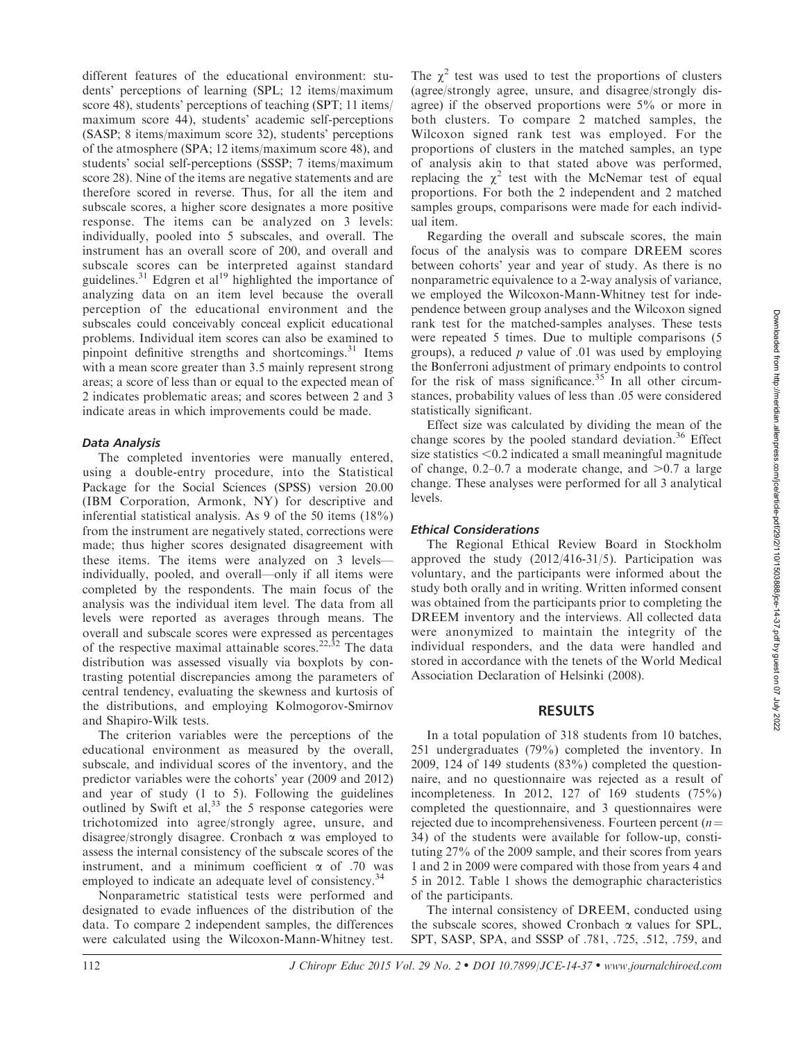different features of the educational environment: students' perceptions of learning (SPL; 12 items/maximum score 48), students' perceptions of teaching (SPT; 11 items/ maximum score 44), students' academic self-perceptions (SASP; 8 items/maximum score 32), students' perceptions of the atmosphere (SPA; 12 items/maximum score 48), and students' social self-perceptions (SSSP; 7 items/maximum score 28). Nine of the items are negative statements and are therefore scored in reverse. Thus, for all the item and subscale scores, a higher score designates a more positive response. The items can be analyzed on 3 levels: individually, pooled into 5 subscales, and overall. The instrument has an overall score of 200, and overall and subscale scores can be interpreted against standard guidelines.<sup>31</sup> Edgren et al<sup>19</sup> highlighted the importance of analyzing data on an item level because the overall perception of the educational environment and the subscales could conceivably conceal explicit educational problems. Individual item scores can also be examined to pinpoint definitive strengths and shortcomings. $31$  Items with a mean score greater than 3.5 mainly represent strong areas; a score of less than or equal to the expected mean of 2 indicates problematic areas; and scores between 2 and 3 indicate areas in which improvements could be made.

#### Data Analysis

The completed inventories were manually entered, using a double-entry procedure, into the Statistical Package for the Social Sciences (SPSS) version 20.00 (IBM Corporation, Armonk, NY) for descriptive and inferential statistical analysis. As 9 of the 50 items (18%) from the instrument are negatively stated, corrections were made; thus higher scores designated disagreement with these items. The items were analyzed on 3 levels individually, pooled, and overall—only if all items were completed by the respondents. The main focus of the analysis was the individual item level. The data from all levels were reported as averages through means. The overall and subscale scores were expressed as percentages of the respective maximal attainable scores.<sup>22,32</sup> The data distribution was assessed visually via boxplots by contrasting potential discrepancies among the parameters of central tendency, evaluating the skewness and kurtosis of the distributions, and employing Kolmogorov-Smirnov and Shapiro-Wilk tests.

The criterion variables were the perceptions of the educational environment as measured by the overall, subscale, and individual scores of the inventory, and the predictor variables were the cohorts' year (2009 and 2012) and year of study (1 to 5). Following the guidelines outlined by Swift et al,  $33$  the 5 response categories were trichotomized into agree/strongly agree, unsure, and disagree/strongly disagree. Cronbach a was employed to assess the internal consistency of the subscale scores of the instrument, and a minimum coefficient  $\alpha$  of .70 was employed to indicate an adequate level of consistency.<sup>34</sup>

Nonparametric statistical tests were performed and designated to evade influences of the distribution of the data. To compare 2 independent samples, the differences were calculated using the Wilcoxon-Mann-Whitney test.

The  $\gamma^2$  test was used to test the proportions of clusters (agree/strongly agree, unsure, and disagree/strongly disagree) if the observed proportions were 5% or more in both clusters. To compare 2 matched samples, the Wilcoxon signed rank test was employed. For the proportions of clusters in the matched samples, an type of analysis akin to that stated above was performed, replacing the  $\chi^2$  test with the McNemar test of equal proportions. For both the 2 independent and 2 matched samples groups, comparisons were made for each individual item.

Regarding the overall and subscale scores, the main focus of the analysis was to compare DREEM scores between cohorts' year and year of study. As there is no nonparametric equivalence to a 2-way analysis of variance, we employed the Wilcoxon-Mann-Whitney test for independence between group analyses and the Wilcoxon signed rank test for the matched-samples analyses. These tests were repeated 5 times. Due to multiple comparisons (5 groups), a reduced  $p$  value of .01 was used by employing the Bonferroni adjustment of primary endpoints to control for the risk of mass significance.<sup>35</sup> In all other circumstances, probability values of less than .05 were considered statistically significant.

Effect size was calculated by dividing the mean of the change scores by the pooled standard deviation.<sup>36</sup> Effect size statistics  $< 0.2$  indicated a small meaningful magnitude of change,  $0.2-0.7$  a moderate change, and  $>0.7$  a large change. These analyses were performed for all 3 analytical levels.

#### Ethical Considerations

The Regional Ethical Review Board in Stockholm approved the study (2012/416-31/5). Participation was voluntary, and the participants were informed about the study both orally and in writing. Written informed consent was obtained from the participants prior to completing the DREEM inventory and the interviews. All collected data were anonymized to maintain the integrity of the individual responders, and the data were handled and stored in accordance with the tenets of the World Medical Association Declaration of Helsinki (2008).

## **RESULTS**

In a total population of 318 students from 10 batches, 251 undergraduates (79%) completed the inventory. In 2009, 124 of 149 students (83%) completed the questionnaire, and no questionnaire was rejected as a result of incompleteness. In 2012, 127 of 169 students (75%) completed the questionnaire, and 3 questionnaires were rejected due to incomprehensiveness. Fourteen percent  $(n=$ 34) of the students were available for follow-up, constituting 27% of the 2009 sample, and their scores from years 1 and 2 in 2009 were compared with those from years 4 and 5 in 2012. Table 1 shows the demographic characteristics of the participants.

The internal consistency of DREEM, conducted using the subscale scores, showed Cronbach  $\alpha$  values for SPL, SPT, SASP, SPA, and SSSP of .781, .725, .512, .759, and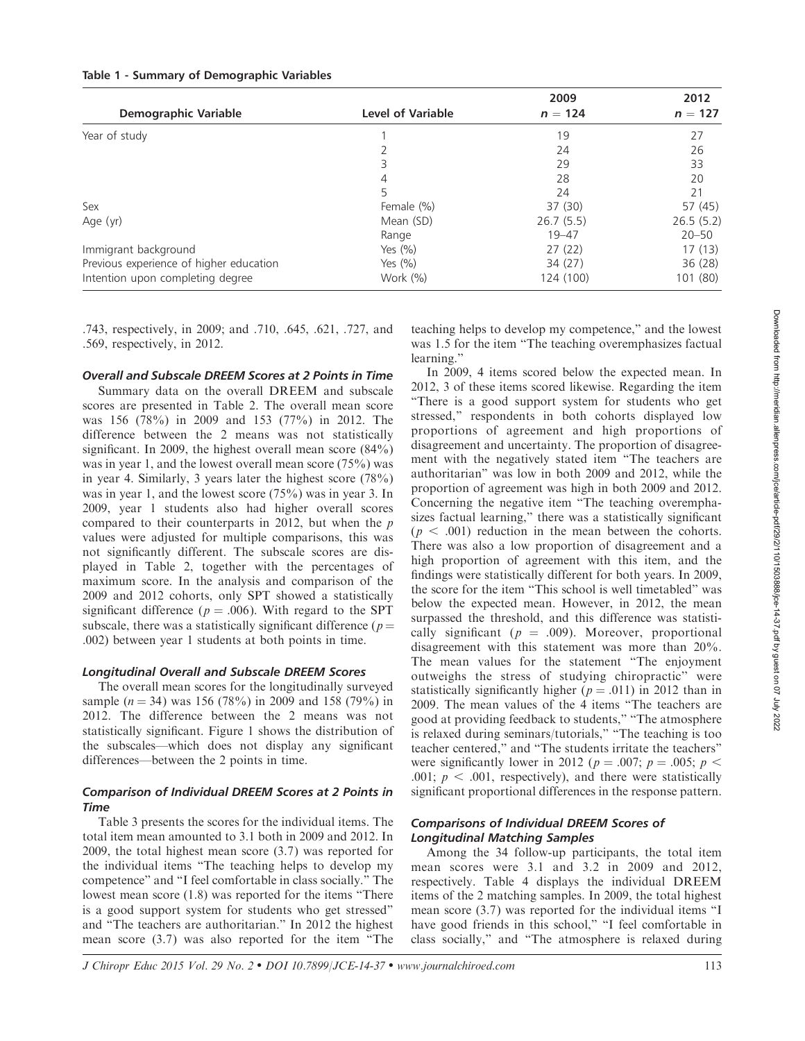| Demographic Variable                    | <b>Level of Variable</b> | 2009<br>$n = 124$ | 2012<br>$n = 127$ |
|-----------------------------------------|--------------------------|-------------------|-------------------|
| Year of study                           |                          | 19                | 27                |
|                                         |                          | 24                | 26                |
|                                         |                          | 29                | 33                |
|                                         | 4                        | 28                | 20                |
|                                         | 5                        | 24                | 21                |
| Sex                                     | Female (%)               | 37 (30)           | 57 (45)           |
| Age (yr)                                | Mean (SD)                | 26.7(5.5)         | 26.5(5.2)         |
|                                         | Range                    | $19 - 47$         | $20 - 50$         |
| Immigrant background                    | Yes $(\%)$               | 27(22)            | 17(13)            |
| Previous experience of higher education | Yes $(\%)$               | 34 (27)           | 36(28)            |
| Intention upon completing degree        | Work $(\%)$              | 124 (100)         | 101 (80)          |

.743, respectively, in 2009; and .710, .645, .621, .727, and .569, respectively, in 2012.

## Overall and Subscale DREEM Scores at 2 Points in Time

Summary data on the overall DREEM and subscale scores are presented in Table 2. The overall mean score was 156 (78%) in 2009 and 153 (77%) in 2012. The difference between the 2 means was not statistically significant. In 2009, the highest overall mean score (84%) was in year 1, and the lowest overall mean score (75%) was in year 4. Similarly, 3 years later the highest score (78%) was in year 1, and the lowest score (75%) was in year 3. In 2009, year 1 students also had higher overall scores compared to their counterparts in 2012, but when the p values were adjusted for multiple comparisons, this was not significantly different. The subscale scores are displayed in Table 2, together with the percentages of maximum score. In the analysis and comparison of the 2009 and 2012 cohorts, only SPT showed a statistically significant difference ( $p = .006$ ). With regard to the SPT subscale, there was a statistically significant difference ( $p =$ .002) between year 1 students at both points in time.

## Longitudinal Overall and Subscale DREEM Scores

The overall mean scores for the longitudinally surveyed sample ( $n = 34$ ) was 156 (78%) in 2009 and 158 (79%) in 2012. The difference between the 2 means was not statistically significant. Figure 1 shows the distribution of the subscales—which does not display any significant differences—between the 2 points in time.

## Comparison of Individual DREEM Scores at 2 Points in Time

Table 3 presents the scores for the individual items. The total item mean amounted to 3.1 both in 2009 and 2012. In 2009, the total highest mean score (3.7) was reported for the individual items ''The teaching helps to develop my competence'' and ''I feel comfortable in class socially.'' The lowest mean score (1.8) was reported for the items ''There is a good support system for students who get stressed'' and ''The teachers are authoritarian.'' In 2012 the highest mean score (3.7) was also reported for the item ''The teaching helps to develop my competence,'' and the lowest was 1.5 for the item "The teaching overemphasizes factual learning.''

In 2009, 4 items scored below the expected mean. In 2012, 3 of these items scored likewise. Regarding the item ''There is a good support system for students who get stressed,'' respondents in both cohorts displayed low proportions of agreement and high proportions of disagreement and uncertainty. The proportion of disagreement with the negatively stated item ''The teachers are authoritarian'' was low in both 2009 and 2012, while the proportion of agreement was high in both 2009 and 2012. Concerning the negative item ''The teaching overemphasizes factual learning,'' there was a statistically significant  $(p < .001)$  reduction in the mean between the cohorts. There was also a low proportion of disagreement and a high proportion of agreement with this item, and the findings were statistically different for both years. In 2009, the score for the item ''This school is well timetabled'' was below the expected mean. However, in 2012, the mean surpassed the threshold, and this difference was statistically significant ( $p = .009$ ). Moreover, proportional disagreement with this statement was more than 20%. The mean values for the statement "The enjoyment" outweighs the stress of studying chiropractic'' were statistically significantly higher ( $p = .011$ ) in 2012 than in 2009. The mean values of the 4 items ''The teachers are good at providing feedback to students,'' ''The atmosphere is relaxed during seminars/tutorials," "The teaching is too teacher centered,'' and ''The students irritate the teachers'' were significantly lower in 2012 ( $p = .007$ ;  $p = .005$ ;  $p <$ .001;  $p < .001$ , respectively), and there were statistically significant proportional differences in the response pattern.

## Comparisons of Individual DREEM Scores of Longitudinal Matching Samples

Among the 34 follow-up participants, the total item mean scores were 3.1 and 3.2 in 2009 and 2012, respectively. Table 4 displays the individual DREEM items of the 2 matching samples. In 2009, the total highest mean score (3.7) was reported for the individual items ''I have good friends in this school," "I feel comfortable in class socially,'' and ''The atmosphere is relaxed during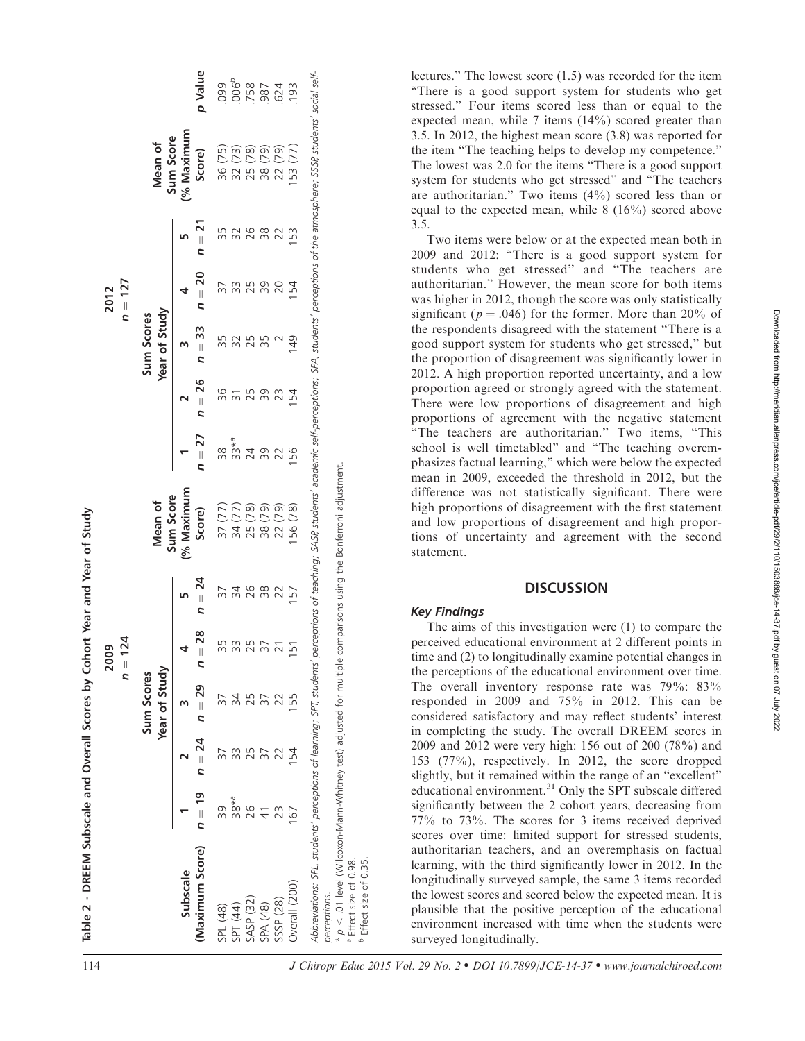|   | j<br>ĺ<br>l<br>ż<br>î<br>l<br>t<br>֖֖֖֖֖֖֧֖ׅ֖֧֖֖֧֧ׅ֖֖֧֚֚֚֚֚֚֚֚֚֚֚֚֚֚֚֚֚֚֚֚֚֚֚֚֚֚֚֚֚֚֬֝֝֓֞֝֓֞֝֬֝<br>ì<br>ׇ֘֒<br>ׇ֦֚֘֝֬ |
|---|-----------------------------------------------------------------------------------------------------------------------|
|   | $\vdots$<br>֡֡֡֡֡֡֡֡֡<br>i<br>$\ddot{\phantom{a}}$<br>$\ddot{\phantom{0}}$<br>i<br>į<br>j<br>l                        |
|   | ֘֒<br>ı<br>l<br>;<br>;<br>ׇׇׇ֘֕֡<br>I<br>ĺ<br>ì<br>í<br>-<br>;<br>;<br>ī                                              |
| Ï | ĺ<br>$\overline{\phantom{a}}$<br>ì<br>i<br>i<br>Ş                                                                     |

| p Value<br>006 <sup>6</sup><br>758<br>624<br>624<br>099<br>193<br>(% Maximum<br>Sum Score<br>Mean of<br>(79)<br>(79)<br>53 (77)<br>36 (75)<br>(78)<br>(73)<br>Score)<br>$\overline{32}$<br>22 <sub>0</sub><br>25 <sub>1</sub><br>$\frac{8}{38}$<br>$n = 21$<br>26<br>$\frac{8}{3}$<br>53<br>$n = 20$<br>39<br>25<br>20<br>154<br>Year of Study<br>Sum Scores<br>n = 33<br>$\frac{1}{2}$<br>$n = 26$<br>96<br>39<br>25<br>154<br>23<br>$n=27$<br>$33*^a$<br>38<br>24<br>39<br>56<br>22<br>(% Maximum<br>Sum Score<br>Mean of<br>56 (78)<br>37 (77)<br>(78)<br>38 (79)<br>(79)<br>(77)<br>Score)<br>34(<br>25(<br>22(<br>$n = 24$<br>34<br>26<br>$\frac{8}{3}$<br>22<br>157<br>$= 28$<br>55<br>33<br>25<br>57<br>$\overline{21}$<br>51<br>ς<br>Year of Study<br><b>Sum Scores</b><br>$n = 29$<br>55<br>$n = 24$<br>54<br>ς,<br>77<br>$n = 19$<br>$38*^a$<br>39<br>23<br>167<br>(Maximum Score)<br>Subscale<br>Overall (200)<br>SASP <sub>(32)</sub><br>SSSP (28)<br>SPA (48)<br>SPL (48)<br>SPT (44) | perceptions of teaching; SASP, students' academic self-perceptions; SPA, students' perceptions of the atmosphere; SSSP, students' social self-<br>Abbreviations: SPL, students' perceptions of learning; SPT, students',<br>perceptions. |                   |  | 124<br>2009<br>$=$ $\mathsf{d}$ |  |  | $n = 127$<br>2012 |  |  |
|----------------------------------------------------------------------------------------------------------------------------------------------------------------------------------------------------------------------------------------------------------------------------------------------------------------------------------------------------------------------------------------------------------------------------------------------------------------------------------------------------------------------------------------------------------------------------------------------------------------------------------------------------------------------------------------------------------------------------------------------------------------------------------------------------------------------------------------------------------------------------------------------------------------------------------------------------------------------------------------------------|------------------------------------------------------------------------------------------------------------------------------------------------------------------------------------------------------------------------------------------|-------------------|--|---------------------------------|--|--|-------------------|--|--|
|                                                                                                                                                                                                                                                                                                                                                                                                                                                                                                                                                                                                                                                                                                                                                                                                                                                                                                                                                                                                    |                                                                                                                                                                                                                                          |                   |  |                                 |  |  |                   |  |  |
|                                                                                                                                                                                                                                                                                                                                                                                                                                                                                                                                                                                                                                                                                                                                                                                                                                                                                                                                                                                                    |                                                                                                                                                                                                                                          |                   |  |                                 |  |  |                   |  |  |
|                                                                                                                                                                                                                                                                                                                                                                                                                                                                                                                                                                                                                                                                                                                                                                                                                                                                                                                                                                                                    |                                                                                                                                                                                                                                          |                   |  |                                 |  |  |                   |  |  |
|                                                                                                                                                                                                                                                                                                                                                                                                                                                                                                                                                                                                                                                                                                                                                                                                                                                                                                                                                                                                    |                                                                                                                                                                                                                                          |                   |  |                                 |  |  |                   |  |  |
|                                                                                                                                                                                                                                                                                                                                                                                                                                                                                                                                                                                                                                                                                                                                                                                                                                                                                                                                                                                                    |                                                                                                                                                                                                                                          |                   |  |                                 |  |  |                   |  |  |
|                                                                                                                                                                                                                                                                                                                                                                                                                                                                                                                                                                                                                                                                                                                                                                                                                                                                                                                                                                                                    |                                                                                                                                                                                                                                          |                   |  |                                 |  |  |                   |  |  |
|                                                                                                                                                                                                                                                                                                                                                                                                                                                                                                                                                                                                                                                                                                                                                                                                                                                                                                                                                                                                    | J Chiropr Educ                                                                                                                                                                                                                           |                   |  |                                 |  |  |                   |  |  |
|                                                                                                                                                                                                                                                                                                                                                                                                                                                                                                                                                                                                                                                                                                                                                                                                                                                                                                                                                                                                    |                                                                                                                                                                                                                                          |                   |  |                                 |  |  |                   |  |  |
| $\rho < .01$ level (Wilcoxon-Mann-Whitney test) adjusted for multiple comparisons using the Bonferroni adjustment.<br><sup>a</sup> Effect size of 0.98.                                                                                                                                                                                                                                                                                                                                                                                                                                                                                                                                                                                                                                                                                                                                                                                                                                            |                                                                                                                                                                                                                                          | $h \sim 10^{-10}$ |  |                                 |  |  |                   |  |  |

lectures.'' The lowest score (1.5) was recorded for the item ''There is a good support system for students who get stressed.'' Four items scored less than or equal to the expected mean, while 7 items (14%) scored greater than 3.5. In 2012, the highest mean score (3.8) was reported for the item ''The teaching helps to develop my competence.'' The lowest was 2.0 for the items ''There is a good support system for students who get stressed'' and ''The teachers are authoritarian.'' Two items (4%) scored less than or equal to the expected mean, while 8 (16%) scored above 3.5.

Two items were below or at the expected mean both in 2009 and 2012: ''There is a good support system for students who get stressed'' and ''The teachers are authoritarian.'' However, the mean score for both items was higher in 2012, though the score was only statistically significant ( $p = .046$ ) for the former. More than 20% of the respondents disagreed with the statement ''There is a good support system for students who get stressed,'' but the proportion of disagreement was significantly lower in 2012. A high proportion reported uncertainty, and a low proportion agreed or strongly agreed with the statement. There were low proportions of disagreement and high proportions of agreement with the negative statement "The teachers are authoritarian." Two items, "This school is well timetabled'' and ''The teaching overemphasizes factual learning,'' which were below the expected mean in 2009, exceeded the threshold in 2012, but the difference was not statistically significant. There were high proportions of disagreement with the first statement and low proportions of disagreement and high proportions of uncertainty and agreement with the second statement.

## **DISCUSSION**

## Key Findings

a Effect size of 0.98. Effect size of 0.35.

The aims of this investigation were (1) to compare the perceived educational environment at 2 different points in time and (2) to longitudinally examine potential changes in the perceptions of the educational environment over time. The overall inventory response rate was 79%: 83% responded in 2009 and 75% in 2012. This can be considered satisfactory and may reflect students' interest in completing the study. The overall DREEM scores in 2009 and 2012 were very high: 156 out of 200 (78%) and 153 (77%), respectively. In 2012, the score dropped slightly, but it remained within the range of an ''excellent'' educational environment.31 Only the SPT subscale differed significantly between the 2 cohort years, decreasing from 77% to 73%. The scores for 3 items received deprived scores over time: limited support for stressed students, authoritarian teachers, and an overemphasis on factual learning, with the third significantly lower in 2012. In the longitudinally surveyed sample, the same 3 items recorded the lowest scores and scored below the expected mean. It is plausible that the positive perception of the educational environment increased with time when the students were surveyed longitudinally.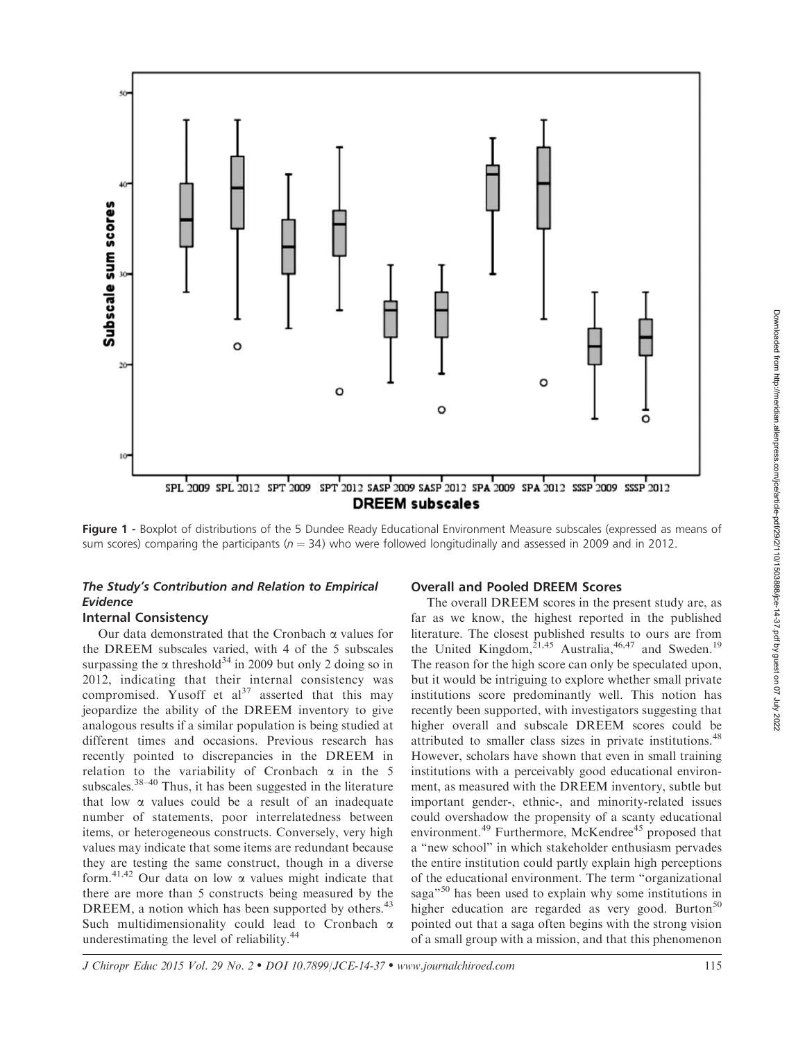

Figure 1 - Boxplot of distributions of the 5 Dundee Ready Educational Environment Measure subscales (expressed as means of sum scores) comparing the participants ( $n = 34$ ) who were followed longitudinally and assessed in 2009 and in 2012.

## The Study's Contribution and Relation to Empirical Evidence

## Internal Consistency

Our data demonstrated that the Cronbach a values for the DREEM subscales varied, with 4 of the 5 subscales surpassing the  $\alpha$  threshold<sup>34</sup> in 2009 but only 2 doing so in 2012, indicating that their internal consistency was compromised. Yusoff et  $al^{37}$  asserted that this may jeopardize the ability of the DREEM inventory to give analogous results if a similar population is being studied at different times and occasions. Previous research has recently pointed to discrepancies in the DREEM in relation to the variability of Cronbach  $\alpha$  in the 5 subscales.<sup>38-40</sup> Thus, it has been suggested in the literature that low  $\alpha$  values could be a result of an inadequate number of statements, poor interrelatedness between items, or heterogeneous constructs. Conversely, very high values may indicate that some items are redundant because they are testing the same construct, though in a diverse form.<sup>41,42</sup> Our data on low  $\alpha$  values might indicate that there are more than 5 constructs being measured by the DREEM, a notion which has been supported by others.<sup>43</sup> Such multidimensionality could lead to Cronbach  $\alpha$ underestimating the level of reliability.<sup>44</sup>

## Overall and Pooled DREEM Scores

The overall DREEM scores in the present study are, as far as we know, the highest reported in the published literature. The closest published results to ours are from the United Kingdom,<sup>21,45</sup> Australia,<sup>46,47</sup> and Sweden.<sup>19</sup> The reason for the high score can only be speculated upon, but it would be intriguing to explore whether small private institutions score predominantly well. This notion has recently been supported, with investigators suggesting that higher overall and subscale DREEM scores could be attributed to smaller class sizes in private institutions.<sup>48</sup> However, scholars have shown that even in small training institutions with a perceivably good educational environment, as measured with the DREEM inventory, subtle but important gender-, ethnic-, and minority-related issues could overshadow the propensity of a scanty educational environment.<sup>49</sup> Furthermore, McKendree<sup>45</sup> proposed that a ''new school'' in which stakeholder enthusiasm pervades the entire institution could partly explain high perceptions of the educational environment. The term ''organizational saga<sup>"50</sup> has been used to explain why some institutions in higher education are regarded as very good. Burton<sup>50</sup> pointed out that a saga often begins with the strong vision of a small group with a mission, and that this phenomenon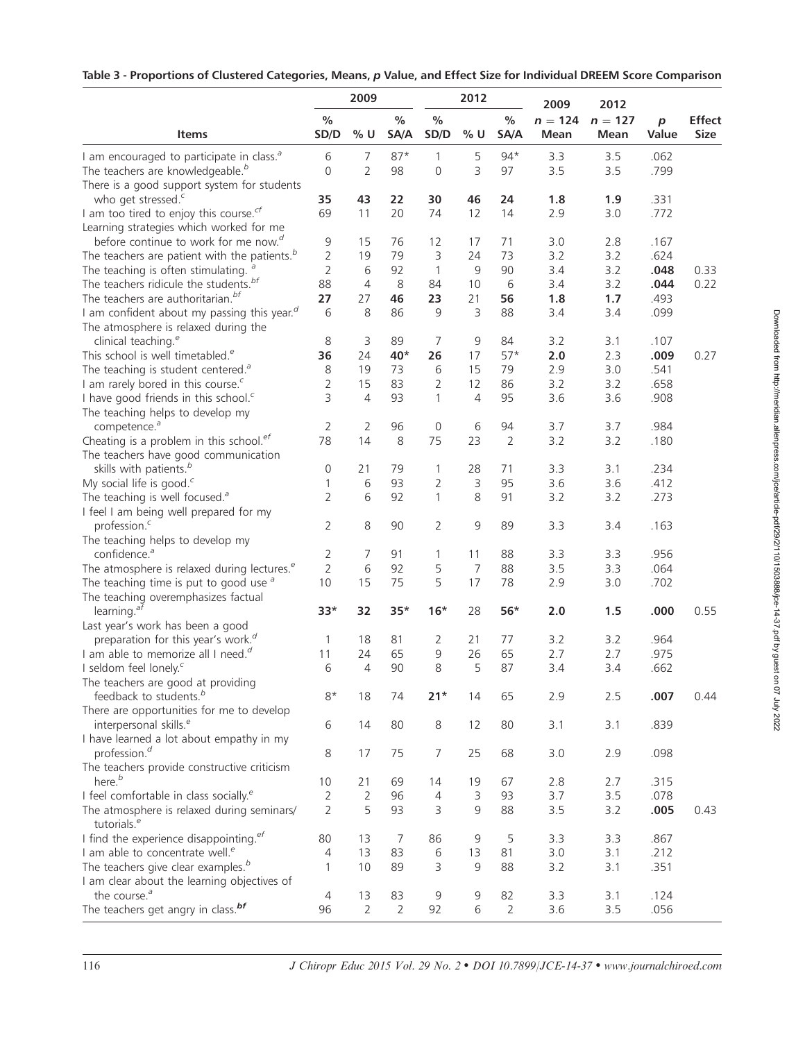|  |  |  | Table 3 - Proportions of Clustered Categories, Means, p Value, and Effect Size for Individual DREEM Score Comparison |
|--|--|--|----------------------------------------------------------------------------------------------------------------------|
|--|--|--|----------------------------------------------------------------------------------------------------------------------|

|                                                                       |                | 2009           |                |                | 2012           |                | 2009              | 2012              |                           |                       |
|-----------------------------------------------------------------------|----------------|----------------|----------------|----------------|----------------|----------------|-------------------|-------------------|---------------------------|-----------------------|
| <b>Items</b>                                                          | $\%$<br>SD/D   | $%$ U          | $\%$<br>SA/A   | $\%$<br>SD/D   | % U            | $\%$<br>SA/A   | $n = 124$<br>Mean | $n = 127$<br>Mean | $\boldsymbol{p}$<br>Value | <b>Effect</b><br>Size |
| I am encouraged to participate in class. <sup>a</sup>                 | 6              | 7              | $87*$          | 1              | 5              | $94*$          | 3.3               | 3.5               | .062                      |                       |
| The teachers are knowledgeable. <sup>b</sup>                          | $\mathbf 0$    | $\overline{2}$ | 98             | $\mathbf 0$    | 3              | 97             | 3.5               | 3.5               | .799                      |                       |
| There is a good support system for students                           |                |                |                |                |                |                |                   |                   |                           |                       |
| who get stressed. <sup>c</sup>                                        | 35             | 43             | 22             | 30             | 46             | 24             | 1.8               | 1.9               | .331                      |                       |
| I am too tired to enjoy this course. <sup>cf</sup>                    | 69             | 11             | 20             | 74             | 12             | 14             | 2.9               | 3.0               | .772                      |                       |
| Learning strategies which worked for me                               |                |                |                |                |                |                |                   |                   |                           |                       |
| before continue to work for me now. <sup>d</sup>                      | 9              | 15             | 76             | 12             | 17             | 71             | 3.0               | 2.8               | .167                      |                       |
| The teachers are patient with the patients. $b$                       | 2              | 19             | 79             | 3              | 24             | 73             | 3.2               | 3.2               | .624                      |                       |
| The teaching is often stimulating. $a^a$                              | 2              | 6              | 92             | $\mathbf{1}$   | 9              | 90             | 3.4               | 3.2               | .048                      | 0.33                  |
| The teachers ridicule the students. <sup>bf</sup>                     | 88             | 4              | 8              | 84             | 10             | 6              | 3.4               | 3.2               | .044                      | 0.22                  |
| The teachers are authoritarian. <sup>bf</sup>                         | 27             | 27             | 46             | 23             | 21             | 56             | 1.8               | 1.7               | .493                      |                       |
| I am confident about my passing this year. <sup>d</sup>               | 6              | 8              | 86             | 9              | 3              | 88             | 3.4               | 3.4               | .099                      |                       |
| The atmosphere is relaxed during the                                  |                |                |                |                |                |                |                   |                   |                           |                       |
| clinical teaching. <sup>e</sup>                                       | 8              | 3              | 89             | 7              | 9              | 84             | 3.2               | 3.1               | .107                      |                       |
| This school is well timetabled. <sup>e</sup>                          | 36             | 24             | 40*            | 26             | 17             | $57*$          | 2.0               | 2.3               | .009                      | 0.27                  |
| The teaching is student centered. <sup>a</sup>                        | 8              | 19             | 73             | 6              | 15             | 79             | 2.9               | 3.0               | .541                      |                       |
| I am rarely bored in this course. <sup>c</sup>                        | 2              | 15             | 83             | $\overline{2}$ | 12             | 86             | 3.2               | 3.2               | .658                      |                       |
| I have good friends in this school. <sup>c</sup>                      | 3              | $\overline{4}$ | 93             | $\mathbf{1}$   | $\overline{4}$ | 95             | 3.6               | 3.6               | .908                      |                       |
| The teaching helps to develop my                                      |                |                |                |                |                |                |                   |                   |                           |                       |
| competence. <sup>a</sup>                                              | 2              | 2              | 96             | $\mathbf 0$    | 6              | 94             | 3.7               | 3.7               | .984                      |                       |
| Cheating is a problem in this school. <sup>ef</sup>                   | 78             | 14             | 8              | 75             | 23             | 2              | 3.2               | 3.2               | .180                      |                       |
| The teachers have good communication                                  |                |                |                |                |                |                |                   |                   |                           |                       |
| skills with patients. <sup>b</sup>                                    | 0              | 21             | 79             | 1              | 28             | 71             | 3.3               | 3.1               | .234                      |                       |
| My social life is good. <sup>c</sup>                                  | 1              | 6              | 93             | 2              | 3              | 95             | 3.6               | 3.6               | .412                      |                       |
| The teaching is well focused. <sup>a</sup>                            | 2              | 6              | 92             | $\mathbf{1}$   | 8              | 91             | 3.2               | 3.2               | .273                      |                       |
| I feel I am being well prepared for my                                |                |                |                |                |                |                |                   |                   |                           |                       |
| profession. <sup>c</sup>                                              | 2              | 8              | 90             | 2              | 9              | 89             | 3.3               | 3.4               | .163                      |                       |
| The teaching helps to develop my                                      |                |                |                |                |                |                |                   |                   |                           |                       |
| confidence. <sup>a</sup>                                              | 2              | 7              | 91             | 1              | 11             | 88             | 3.3               | 3.3               | .956                      |                       |
| The atmosphere is relaxed during lectures. <sup>e</sup>               | 2              | 6              | 92             | 5              | $\overline{7}$ | 88             | 3.5               | 3.3               | .064                      |                       |
| The teaching time is put to good use $a^a$                            | 10             | 15             | 75             | 5              | 17             | 78             | 2.9               | 3.0               | .702                      |                       |
| The teaching overemphasizes factual                                   |                |                |                |                |                |                |                   |                   |                           |                       |
| learning. $a^{\bar{f}}$                                               | $33*$          | 32             | $35*$          | $16*$          | 28             | $56*$          | 2.0               | 1.5               | .000                      | 0.55                  |
| Last year's work has been a good                                      |                |                |                |                |                |                |                   |                   |                           |                       |
| preparation for this year's work. <sup>d</sup>                        | 1              | 18             | 81             | 2              | 21             | 77             | 3.2               | 3.2               | .964                      |                       |
| I am able to memorize all I need. $d$                                 | 11             | 24             | 65             | 9              | 26             | 65             | 2.7               | 2.7               | .975                      |                       |
| I seldom feel lonely. <sup>c</sup>                                    | 6              | $\overline{4}$ | 90             | 8              | 5              | 87             | 3.4               | 3.4               | .662                      |                       |
| The teachers are good at providing                                    |                |                |                |                |                |                |                   |                   |                           |                       |
| feedback to students. <sup>b</sup>                                    | $8*$           | 18             | 74             | $21*$          | 14             | 65             | 2.9               | 2.5               | .007                      | 0.44                  |
| There are opportunities for me to develop                             |                |                |                |                |                |                |                   |                   |                           |                       |
| interpersonal skills. <sup>e</sup>                                    | 6              | 14             | 80             | 8              | 12             | 80             | 3.1               | 3.1               | .839                      |                       |
| I have learned a lot about empathy in my                              |                |                |                |                |                |                |                   |                   |                           |                       |
| profession. <sup>d</sup>                                              | 8              | 17             | 75             | $\overline{7}$ | 25             | 68             | 3.0               | 2.9               | .098                      |                       |
| The teachers provide constructive criticism                           |                |                |                |                |                |                |                   |                   |                           |                       |
| here. <sup>b</sup>                                                    | 10             | 21             | 69             | 14             | 19             | 67             | 2.8               | 2.7               | .315                      |                       |
| I feel comfortable in class socially. <sup>e</sup>                    | 2              | 2              | 96             | 4              | 3              | 93             | 3.7               | 3.5               | .078                      |                       |
| The atmosphere is relaxed during seminars/<br>tutorials. <sup>e</sup> | $\overline{2}$ | 5              | 93             | 3              | 9              | 88             | 3.5               | 3.2               | .005                      | 0.43                  |
| I find the experience disappointing. <sup>ef</sup>                    | 80             | 13             | 7              | 86             | 9              | 5              | 3.3               | 3.3               | .867                      |                       |
| I am able to concentrate well. <sup>e</sup>                           | 4              | 13             | 83             | 6              | 13             | 81             | 3.0               | 3.1               | .212                      |                       |
| The teachers give clear examples. <sup>b</sup>                        | 1              | 10             | 89             | 3              | 9              | 88             | 3.2               | 3.1               | .351                      |                       |
| I am clear about the learning objectives of                           |                |                |                |                |                |                |                   |                   |                           |                       |
| the course. <sup>a</sup>                                              | 4              | 13             | 83             | 9              | 9              | 82             | 3.3               | 3.1               | .124                      |                       |
| The teachers get angry in class. <sup>bf</sup>                        | 96             | $\overline{2}$ | $\overline{2}$ | 92             | 6              | $\overline{2}$ | 3.6               | 3.5               | .056                      |                       |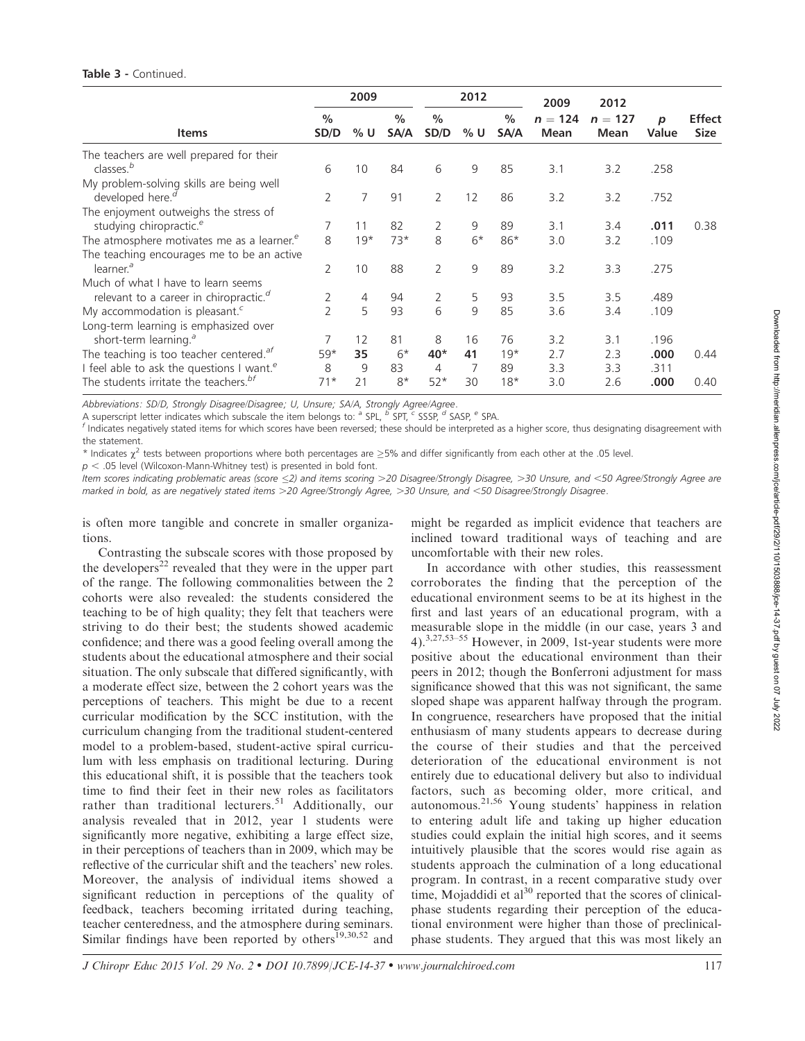#### Table 3 - Continued.

|                                                        | 2009                  |       |                       | 2012                  |      | 2009         | 2012              |                   |            |                              |
|--------------------------------------------------------|-----------------------|-------|-----------------------|-----------------------|------|--------------|-------------------|-------------------|------------|------------------------------|
| <b>Items</b>                                           | $\frac{0}{0}$<br>SD/D | % U   | $\frac{0}{0}$<br>SA/A | $\frac{0}{0}$<br>SD/D | % U  | $\%$<br>SA/A | $n = 124$<br>Mean | $n = 127$<br>Mean | p<br>Value | <b>Effect</b><br><b>Size</b> |
| The teachers are well prepared for their               |                       |       |                       |                       |      |              |                   |                   |            |                              |
| classes. <sup>b</sup>                                  | 6                     | 10    | 84                    | 6                     | 9    | 85           | 3.1               | 3.2               | .258       |                              |
| My problem-solving skills are being well               |                       |       |                       |                       |      |              |                   |                   |            |                              |
| developed here. <sup><i>d</i></sup>                    | $\overline{2}$        | 7     | 91                    | 2                     | 12   | 86           | 3.2               | 3.2               | .752       |                              |
| The enjoyment outweighs the stress of                  |                       |       |                       |                       |      |              |                   |                   |            |                              |
| studying chiropractic. <sup>e</sup>                    |                       | 11    | 82                    | 2                     | 9    | 89           | 3.1               | 3.4               | .011       | 0.38                         |
| The atmosphere motivates me as a learner. <sup>e</sup> | 8                     | $19*$ | $73*$                 | 8                     | $6*$ | $86*$        | 3.0               | 3.2               | .109       |                              |
| The teaching encourages me to be an active             |                       |       |                       |                       |      |              |                   |                   |            |                              |
| learner. <sup>a</sup>                                  | 2                     | 10    | 88                    | $\overline{2}$        | 9    | 89           | 3.2               | 3.3               | .275       |                              |
| Much of what I have to learn seems                     |                       |       |                       |                       |      |              |                   |                   |            |                              |
| relevant to a career in chiropractic. <sup>d</sup>     |                       | 4     | 94                    | 2                     | 5    | 93           | 3.5               | 3.5               | .489       |                              |
| My accommodation is pleasant. <sup>c</sup>             | $\mathcal{P}$         | 5     | 93                    | 6                     | 9    | 85           | 3.6               | 3.4               | .109       |                              |
| Long-term learning is emphasized over                  |                       |       |                       |                       |      |              |                   |                   |            |                              |
| short-term learning. <sup>a</sup>                      |                       | 12    | 81                    | 8                     | 16   | 76           | 3.2               | 3.1               | .196       |                              |
| The teaching is too teacher centered. $a^f$            | $59*$                 | 35    | $6*$                  | $40*$                 | 41   | $19*$        | 2.7               | 2.3               | .000       | 0.44                         |
| I feel able to ask the questions I want. <sup>e</sup>  | 8                     | 9     | 83                    | 4                     |      | 89           | 3.3               | 3.3               | .311       |                              |
| The students irritate the teachers. <sup>bf</sup>      | $71*$                 | 21    | $8*$                  | $52*$                 | 30   | $18*$        | 3.0               | 2.6               | .000       | 0.40                         |

Abbreviations: SD/D, Strongly Disagree/Disagree; U, Unsure; SA/A, Strongly Agree/Agree.

A superscript letter indicates which subscale the item belongs to:  $a$  SPL,  $b$  SPT,  $c$  SSSP,  $d$  SASP,  $e$  SPA.

<sup>f</sup> Indicates negatively stated items for which scores have been reversed; these should be interpreted as a higher score, thus designating disagreement with the statement.

\* Indicates  $\chi^2$  tests between proportions where both percentages are >5% and differ significantly from each other at the .05 level.

 $p < .05$  level (Wilcoxon-Mann-Whitney test) is presented in bold font.

Item scores indicating problematic areas (score <2) and items scoring >20 Disagree/Strongly Disagree, >30 Unsure, and <50 Agree/Strongly Agree are marked in bold, as are negatively stated items >20 Agree/Strongly Agree, >30 Unsure, and <50 Disagree/Strongly Disagree.

is often more tangible and concrete in smaller organizations.

Contrasting the subscale scores with those proposed by the developers<sup>22</sup> revealed that they were in the upper part of the range. The following commonalities between the 2 cohorts were also revealed: the students considered the teaching to be of high quality; they felt that teachers were striving to do their best; the students showed academic confidence; and there was a good feeling overall among the students about the educational atmosphere and their social situation. The only subscale that differed significantly, with a moderate effect size, between the 2 cohort years was the perceptions of teachers. This might be due to a recent curricular modification by the SCC institution, with the curriculum changing from the traditional student-centered model to a problem-based, student-active spiral curriculum with less emphasis on traditional lecturing. During this educational shift, it is possible that the teachers took time to find their feet in their new roles as facilitators rather than traditional lecturers.<sup>51</sup> Additionally, our analysis revealed that in 2012, year 1 students were significantly more negative, exhibiting a large effect size, in their perceptions of teachers than in 2009, which may be reflective of the curricular shift and the teachers' new roles. Moreover, the analysis of individual items showed a significant reduction in perceptions of the quality of feedback, teachers becoming irritated during teaching, teacher centeredness, and the atmosphere during seminars. Similar findings have been reported by others<sup>19,30,52</sup> and

might be regarded as implicit evidence that teachers are inclined toward traditional ways of teaching and are uncomfortable with their new roles.

In accordance with other studies, this reassessment corroborates the finding that the perception of the educational environment seems to be at its highest in the first and last years of an educational program, with a measurable slope in the middle (in our case, years 3 and 4).3,27,53–55 However, in 2009, 1st-year students were more positive about the educational environment than their peers in 2012; though the Bonferroni adjustment for mass significance showed that this was not significant, the same sloped shape was apparent halfway through the program. In congruence, researchers have proposed that the initial enthusiasm of many students appears to decrease during the course of their studies and that the perceived deterioration of the educational environment is not entirely due to educational delivery but also to individual factors, such as becoming older, more critical, and autonomous.21,56 Young students' happiness in relation to entering adult life and taking up higher education studies could explain the initial high scores, and it seems intuitively plausible that the scores would rise again as students approach the culmination of a long educational program. In contrast, in a recent comparative study over time, Mojaddidi et  $al^{30}$  reported that the scores of clinicalphase students regarding their perception of the educational environment were higher than those of preclinicalphase students. They argued that this was most likely an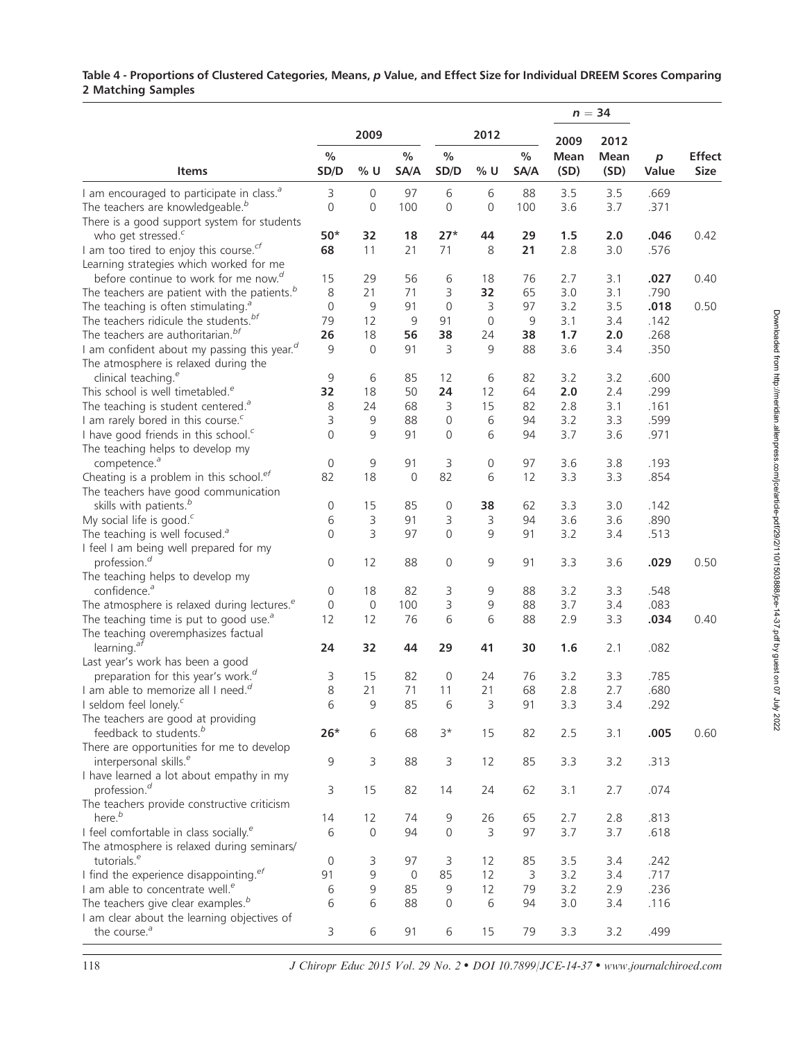## Table 4 - Proportions of Clustered Categories, Means, p Value, and Effect Size for Individual DREEM Scores Comparing 2 Matching Samples

|                                                          |                     |             |              |                |                |              |              | $n = 34$     |                           |                       |
|----------------------------------------------------------|---------------------|-------------|--------------|----------------|----------------|--------------|--------------|--------------|---------------------------|-----------------------|
|                                                          |                     | 2009        |              |                | 2012           |              | 2009         | 2012         |                           |                       |
| <b>Items</b>                                             | $\%$<br>SD/D        | $%$ U       | $\%$<br>SA/A | $\%$<br>SD/D   | $%$ U          | $\%$<br>SA/A | Mean<br>(SD) | Mean<br>(SD) | $\boldsymbol{p}$<br>Value | <b>Effect</b><br>Size |
| I am encouraged to participate in class. <sup>a</sup>    | 3                   | $\mathbf 0$ | 97           | $6\,$          | 6              | 88           | 3.5          | 3.5          | .669                      |                       |
| The teachers are knowledgeable. <sup>b</sup>             | $\mathsf{O}\xspace$ | 0           | 100          | $\overline{0}$ | $\overline{0}$ | 100          | 3.6          | 3.7          | .371                      |                       |
| There is a good support system for students              |                     |             |              |                |                |              |              |              |                           |                       |
| who get stressed. <sup>c</sup>                           | $50*$               | 32          | 18           | $27*$          | 44             | 29           | 1.5          | 2.0          | .046                      | 0.42                  |
| I am too tired to enjoy this course. $^{cf}$             | 68                  | 11          | 21           | 71             | 8              | 21           | 2.8          | 3.0          | .576                      |                       |
| Learning strategies which worked for me                  |                     |             |              |                |                |              |              |              |                           |                       |
| before continue to work for me now. <sup>d</sup>         | 15                  | 29          | 56           | 6              | 18             | 76           | 2.7          | 3.1          | .027                      | 0.40                  |
| The teachers are patient with the patients. <sup>b</sup> | 8                   | 21          | 71           | 3              | 32             | 65           | 3.0          | 3.1          | .790                      |                       |
| The teaching is often stimulating. <sup>a</sup>          | $\mathbf 0$         | 9           | 91           | $\overline{0}$ | 3              | 97           | 3.2          | 3.5          | .018                      | 0.50                  |
| The teachers ridicule the students. <sup>bf</sup>        | 79                  | 12          | 9            | 91             | $\mathbf 0$    | 9            | 3.1          | 3.4          | .142                      |                       |
| The teachers are authoritarian. <sup>bf</sup>            | 26                  | 18          | 56           | 38             | 24             | 38           | 1.7          | 2.0          | .268                      |                       |
| I am confident about my passing this year. <sup>d</sup>  | 9                   | 0           | 91           | 3              | 9              | 88           | 3.6          | 3.4          | .350                      |                       |
| The atmosphere is relaxed during the                     |                     |             |              |                |                |              |              |              |                           |                       |
| clinical teaching. <sup>e</sup>                          | $\mathsf 9$         | 6           | 85           | 12             | 6              | 82           | 3.2          | 3.2          | .600                      |                       |
| This school is well timetabled. <sup>e</sup>             | 32                  | 18          | 50           | 24             | 12             | 64           | 2.0          | 2.4          | .299                      |                       |
| The teaching is student centered. $a$                    | 8                   | 24          | 68           | 3              | 15             | 82           | 2.8          | 3.1          | .161                      |                       |
| I am rarely bored in this course. <sup>c</sup>           | 3                   | 9           | 88           | $\mathbf 0$    | 6              | 94           | 3.2          | 3.3          | .599                      |                       |
| I have good friends in this school. <sup>c</sup>         | $\Omega$            | 9           | 91           | $\Omega$       | 6              | 94           | 3.7          | 3.6          | .971                      |                       |
| The teaching helps to develop my                         |                     |             |              |                |                |              |              |              |                           |                       |
| competence. <sup>a</sup>                                 | $\mathbf 0$         | 9           | 91           | 3              | 0              | 97           | 3.6          | 3.8          | .193                      |                       |
| Cheating is a problem in this school. <sup>ef</sup>      | 82                  | 18          | $\mathbf 0$  | 82             | 6              | 12           | 3.3          | 3.3          | .854                      |                       |
| The teachers have good communication                     |                     |             |              |                |                |              |              |              |                           |                       |
| skills with patients. <sup>b</sup>                       | 0                   | 15          | 85           | 0              | 38             | 62           | 3.3          | 3.0          | .142                      |                       |
| My social life is good. <sup>c</sup>                     | 6                   | 3           | 91           | 3              | 3              | 94           | 3.6          | 3.6          | .890                      |                       |
| The teaching is well focused. <sup>a</sup>               | $\mathsf{O}\xspace$ | 3           | 97           | 0              | 9              | 91           | 3.2          | 3.4          | .513                      |                       |
| I feel I am being well prepared for my                   |                     |             |              |                |                |              |              |              |                           |                       |
| profession. <sup>d</sup>                                 | 0                   | 12          | 88           | 0              | 9              | 91           | 3.3          | 3.6          | .029                      | 0.50                  |
| The teaching helps to develop my                         |                     |             |              |                |                |              |              |              |                           |                       |
| confidence. <sup>a</sup>                                 | 0                   | 18          | 82           | 3              | 9              | 88           | 3.2          | 3.3          | .548                      |                       |
| The atmosphere is relaxed during lectures. <sup>e</sup>  | 0                   | $\mathbf 0$ | 100          | 3              | 9              | 88           | 3.7          | 3.4          | .083                      |                       |
| The teaching time is put to good use. $\delta$           | 12                  | 12          | 76           | 6              | 6              | 88           | 2.9          | 3.3          | .034                      | 0.40                  |
| The teaching overemphasizes factual                      |                     |             |              |                |                |              |              |              |                           |                       |
| learning. $a^{\bar{f}}$                                  | 24                  | 32          | 44           | 29             | 41             | 30           | 1.6          | 2.1          | .082                      |                       |
| Last year's work has been a good                         |                     |             |              |                |                |              |              |              |                           |                       |
| preparation for this year's work. <sup>d</sup>           | 3                   | 15          | 82           | 0              | 24             | 76           | 3.2          | 3.3          | .785                      |                       |
| I am able to memorize all I need. <sup>d</sup>           | 8                   | 21          | 71           | 11             | 21             | 68           | 2.8          | 2.7          | .680                      |                       |
| I seldom feel lonely. <sup>c</sup>                       | 6                   | 9           | 85           | 6              | 3              | 91           | 3.3          | 3.4          | .292                      |                       |
| The teachers are good at providing                       |                     |             |              |                |                |              |              |              |                           |                       |
| feedback to students. <sup>b</sup>                       | $26*$               | 6           | 68           | $3*$           | 15             | 82           | 2.5          | 3.1          | .005                      | 0.60                  |
| There are opportunities for me to develop                |                     |             |              |                |                |              |              |              |                           |                       |
| interpersonal skills. <sup>e</sup>                       | $\mathsf 9$         | 3           | 88           | 3              | 12             | 85           | 3.3          | 3.2          | .313                      |                       |
| I have learned a lot about empathy in my                 |                     |             |              |                |                |              |              |              |                           |                       |
| profession. <sup>d</sup>                                 | 3                   | 15          | 82           | 14             | 24             | 62           | 3.1          | 2.7          | .074                      |                       |
| The teachers provide constructive criticism              |                     |             |              |                |                |              |              |              |                           |                       |
| here. <sup>b</sup>                                       | 14                  | 12          | 74           | 9              | 26             | 65           | 2.7          | 2.8          | .813                      |                       |
| I feel comfortable in class socially. <sup>e</sup>       | 6                   | $\mathbf 0$ | 94           | $\mathbf{0}$   | 3              | 97           | 3.7          | 3.7          | .618                      |                       |
| The atmosphere is relaxed during seminars/               |                     |             |              |                |                |              |              |              |                           |                       |
| tutorials. <sup>e</sup>                                  | 0                   | 3           | 97           | 3              | 12             | 85           | 3.5          | 3.4          | .242                      |                       |
| I find the experience disappointing. <sup>ef</sup>       | 91                  | 9           | $\mathbf 0$  | 85             | 12             | 3            | 3.2          | 3.4          | .717                      |                       |
| I am able to concentrate well. <sup>e</sup>              | 6                   | 9           | 85           | 9              | 12             | 79           | 3.2          | 2.9          | .236                      |                       |
| The teachers give clear examples. <sup>b</sup>           | 6                   | 6           | 88           | 0              | 6              | 94           | 3.0          | 3.4          | .116                      |                       |
| I am clear about the learning objectives of              |                     |             |              |                |                |              |              |              |                           |                       |
| the course. <sup>a</sup>                                 | 3                   | 6           | 91           | 6              | 15             | 79           | 3.3          | 3.2          | .499                      |                       |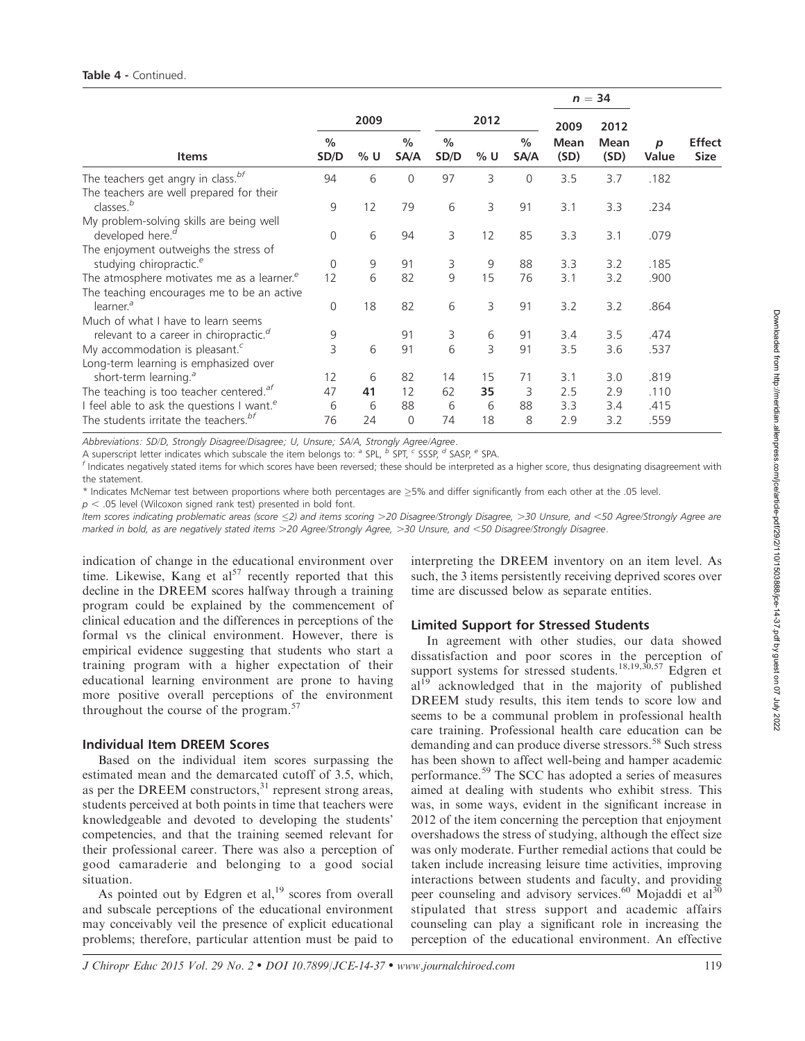|                                                                                                            |                       |         |                      |                       |          |              |              | $n = 34$     |              |                              |
|------------------------------------------------------------------------------------------------------------|-----------------------|---------|----------------------|-----------------------|----------|--------------|--------------|--------------|--------------|------------------------------|
|                                                                                                            |                       | 2009    |                      |                       | 2012     |              | 2009         | 2012         |              |                              |
| <b>Items</b>                                                                                               | $\frac{0}{0}$<br>SD/D | % U     | $\%$<br>SA/A         | $\frac{0}{0}$<br>SD/D | % U      | $\%$<br>SA/A | Mean<br>(SD) | Mean<br>(SD) | р<br>Value   | <b>Effect</b><br><b>Size</b> |
| The teachers get angry in class. <sup>bf</sup><br>The teachers are well prepared for their                 | 94                    | 6       | $\mathbf 0$          | 97                    | 3        | $\mathbf{0}$ | 3.5          | 3.7          | .182         |                              |
| classes. <sup>b</sup><br>My problem-solving skills are being well                                          | 9                     | 12      | 79                   | 6                     | 3        | 91           | 3.1          | 3.3          | .234         |                              |
| developed here. <sup>d</sup><br>The enjoyment outweighs the stress of                                      | $\mathbf{0}$          | 6       | 94                   | 3                     | 12       | 85           | 3.3          | 3.1          | .079         |                              |
| studying chiropractic. <sup>e</sup><br>The atmosphere motivates me as a learner. <sup>e</sup>              | $\mathbf 0$<br>12     | 9<br>6  | 91<br>82             | 3<br>9                | 9<br>15  | 88<br>76     | 3.3<br>3.1   | 3.2<br>3.2   | .185<br>.900 |                              |
| The teaching encourages me to be an active<br>learner. <sup>a</sup><br>Much of what I have to learn seems  | $\mathbf 0$           | 18      | 82                   | 6                     | 3        | 91           | 3.2          | 3.2          | .864         |                              |
| relevant to a career in chiropractic. <sup>d</sup>                                                         | 9                     |         | 91                   | 3                     | 6        | 91           | 3.4          | 3.5          | .474         |                              |
| My accommodation is pleasant. <sup>c</sup><br>Long-term learning is emphasized over                        | 3                     | 6       | 91                   | 6                     | 3        | 91           | 3.5          | 3.6          | .537         |                              |
| short-term learning. <sup>a</sup><br>The teaching is too teacher centered. <sup>af</sup>                   | 12<br>47              | 6<br>41 | 82<br>12             | 14<br>62              | 15<br>35 | 71<br>3      | 3.1<br>2.5   | 3.0<br>2.9   | .819<br>.110 |                              |
| I feel able to ask the questions I want. <sup>e</sup><br>The students irritate the teachers. <sup>bf</sup> | 6<br>76               | 6<br>24 | 88<br>$\overline{0}$ | 6<br>74               | 6<br>18  | 88<br>8      | 3.3<br>2.9   | 3.4<br>3.2   | .415<br>.559 |                              |

Abbreviations: SD/D, Strongly Disagree/Disagree; U, Unsure; SA/A, Strongly Agree/Agree.

A superscript letter indicates which subscale the item belongs to:  $a$  SPL,  $b$  SPT,  $c$  SSSP,  $d$  SASP,  $e$  SPA.

<sup>f</sup> Indicates negatively stated items for which scores have been reversed; these should be interpreted as a higher score, thus designating disagreement with the statement.

 $*$  Indicates McNemar test between proportions where both percentages are  $\geq$ 5% and differ significantly from each other at the .05 level.

Item scores indicating problematic areas (score <2) and items scoring >20 Disagree/Strongly Disagree, >30 Unsure, and <50 Agree/Strongly Agree are marked in bold, as are negatively stated items >20 Agree/Strongly Agree, >30 Unsure, and <50 Disagree/Strongly Disagree.

indication of change in the educational environment over time. Likewise, Kang et  $al^{57}$  recently reported that this decline in the DREEM scores halfway through a training program could be explained by the commencement of clinical education and the differences in perceptions of the formal vs the clinical environment. However, there is empirical evidence suggesting that students who start a training program with a higher expectation of their educational learning environment are prone to having more positive overall perceptions of the environment throughout the course of the program.57

## Individual Item DREEM Scores

Based on the individual item scores surpassing the estimated mean and the demarcated cutoff of 3.5, which, as per the DREEM constructors,<sup>31</sup> represent strong areas, students perceived at both points in time that teachers were knowledgeable and devoted to developing the students' competencies, and that the training seemed relevant for their professional career. There was also a perception of good camaraderie and belonging to a good social situation.

As pointed out by Edgren et al, $^{19}$  scores from overall and subscale perceptions of the educational environment may conceivably veil the presence of explicit educational problems; therefore, particular attention must be paid to

interpreting the DREEM inventory on an item level. As such, the 3 items persistently receiving deprived scores over time are discussed below as separate entities.

## Limited Support for Stressed Students

In agreement with other studies, our data showed dissatisfaction and poor scores in the perception of support systems for stressed students.<sup>18,19,30,57</sup> Edgren et al<sup>19</sup> acknowledged that in the majority of published DREEM study results, this item tends to score low and seems to be a communal problem in professional health care training. Professional health care education can be demanding and can produce diverse stressors.<sup>58</sup> Such stress has been shown to affect well-being and hamper academic performance.<sup>59</sup> The SCC has adopted a series of measures aimed at dealing with students who exhibit stress. This was, in some ways, evident in the significant increase in 2012 of the item concerning the perception that enjoyment overshadows the stress of studying, although the effect size was only moderate. Further remedial actions that could be taken include increasing leisure time activities, improving interactions between students and faculty, and providing peer counseling and advisory services.<sup>60</sup> Mojaddi et al<sup>30</sup> stipulated that stress support and academic affairs counseling can play a significant role in increasing the perception of the educational environment. An effective

 $p < .05$  level (Wilcoxon signed rank test) presented in bold font.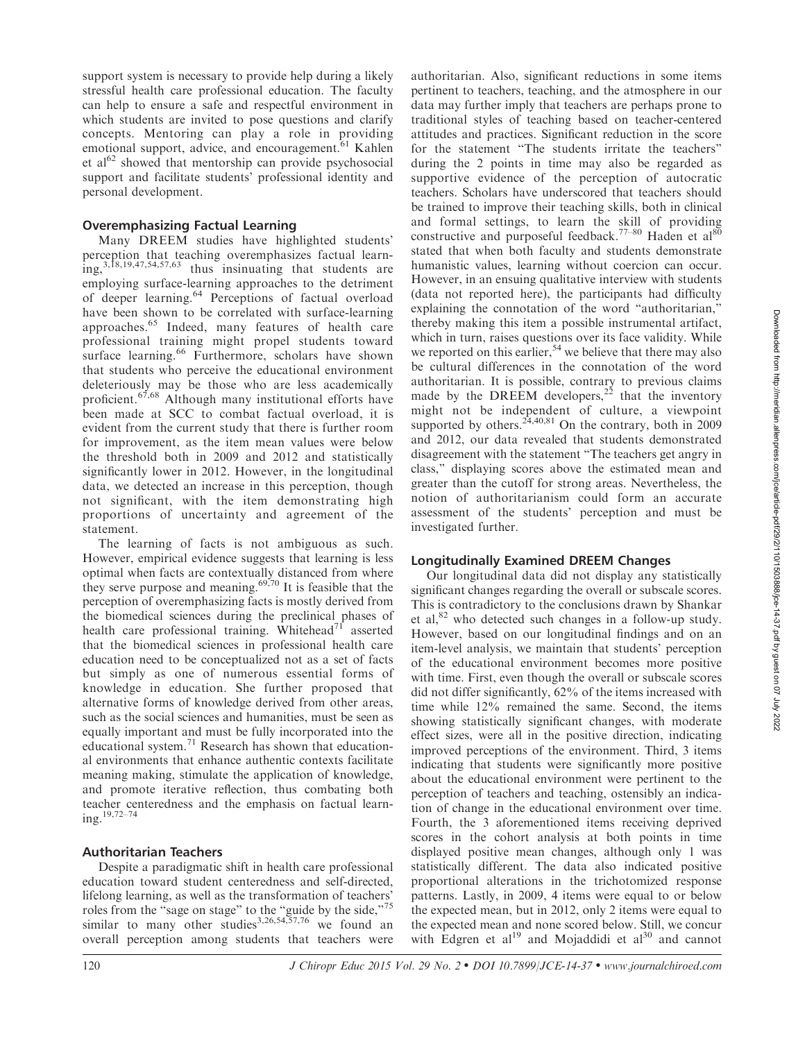support system is necessary to provide help during a likely stressful health care professional education. The faculty can help to ensure a safe and respectful environment in which students are invited to pose questions and clarify concepts. Mentoring can play a role in providing emotional support, advice, and encouragement.<sup>61</sup> Kahlen et  $al^{62}$  showed that mentorship can provide psychosocial support and facilitate students' professional identity and personal development.

## Overemphasizing Factual Learning

Many DREEM studies have highlighted students' perception that teaching overemphasizes factual learning,3,18,19,47,54,57,63 thus insinuating that students are employing surface-learning approaches to the detriment of deeper learning.<sup>64</sup> Perceptions of factual overload have been shown to be correlated with surface-learning approaches.<sup>65</sup> Indeed, many features of health care professional training might propel students toward surface learning.<sup>66</sup> Furthermore, scholars have shown that students who perceive the educational environment deleteriously may be those who are less academically proficient.67,68 Although many institutional efforts have been made at SCC to combat factual overload, it is evident from the current study that there is further room for improvement, as the item mean values were below the threshold both in 2009 and 2012 and statistically significantly lower in 2012. However, in the longitudinal data, we detected an increase in this perception, though not significant, with the item demonstrating high proportions of uncertainty and agreement of the statement.

The learning of facts is not ambiguous as such. However, empirical evidence suggests that learning is less optimal when facts are contextually distanced from where they serve purpose and meaning.<sup>69,70</sup> It is feasible that the perception of overemphasizing facts is mostly derived from the biomedical sciences during the preclinical phases of health care professional training. Whitehead<sup>71</sup> asserted that the biomedical sciences in professional health care education need to be conceptualized not as a set of facts but simply as one of numerous essential forms of knowledge in education. She further proposed that alternative forms of knowledge derived from other areas, such as the social sciences and humanities, must be seen as equally important and must be fully incorporated into the educational system. $<sup>71</sup>$  Research has shown that education-</sup> al environments that enhance authentic contexts facilitate meaning making, stimulate the application of knowledge, and promote iterative reflection, thus combating both teacher centeredness and the emphasis on factual learning.19,72–74

## Authoritarian Teachers

Despite a paradigmatic shift in health care professional education toward student centeredness and self-directed, lifelong learning, as well as the transformation of teachers' roles from the "sage on stage" to the "guide by the side,"<sup>75</sup> similar to many other studies<sup>3,26,54,57,76</sup> we found an overall perception among students that teachers were

authoritarian. Also, significant reductions in some items pertinent to teachers, teaching, and the atmosphere in our data may further imply that teachers are perhaps prone to traditional styles of teaching based on teacher-centered attitudes and practices. Significant reduction in the score for the statement ''The students irritate the teachers'' during the 2 points in time may also be regarded as supportive evidence of the perception of autocratic teachers. Scholars have underscored that teachers should be trained to improve their teaching skills, both in clinical and formal settings, to learn the skill of providing constructive and purposeful feedback.<sup>77–80</sup> Haden et al<sup>8</sup> stated that when both faculty and students demonstrate humanistic values, learning without coercion can occur. However, in an ensuing qualitative interview with students (data not reported here), the participants had difficulty explaining the connotation of the word ''authoritarian,'' thereby making this item a possible instrumental artifact, which in turn, raises questions over its face validity. While we reported on this earlier,<sup>54</sup> we believe that there may also be cultural differences in the connotation of the word authoritarian. It is possible, contrary to previous claims made by the DREEM developers,<sup>22</sup> that the inventory might not be independent of culture, a viewpoint supported by others.<sup>24,40,81</sup> On the contrary, both in 2009 and 2012, our data revealed that students demonstrated disagreement with the statement ''The teachers get angry in class,'' displaying scores above the estimated mean and greater than the cutoff for strong areas. Nevertheless, the notion of authoritarianism could form an accurate assessment of the students' perception and must be investigated further.

## Longitudinally Examined DREEM Changes

Our longitudinal data did not display any statistically significant changes regarding the overall or subscale scores. This is contradictory to the conclusions drawn by Shankar et al, $82$  who detected such changes in a follow-up study. However, based on our longitudinal findings and on an item-level analysis, we maintain that students' perception of the educational environment becomes more positive with time. First, even though the overall or subscale scores did not differ significantly, 62% of the items increased with time while 12% remained the same. Second, the items showing statistically significant changes, with moderate effect sizes, were all in the positive direction, indicating improved perceptions of the environment. Third, 3 items indicating that students were significantly more positive about the educational environment were pertinent to the perception of teachers and teaching, ostensibly an indication of change in the educational environment over time. Fourth, the 3 aforementioned items receiving deprived scores in the cohort analysis at both points in time displayed positive mean changes, although only 1 was statistically different. The data also indicated positive proportional alterations in the trichotomized response patterns. Lastly, in 2009, 4 items were equal to or below the expected mean, but in 2012, only 2 items were equal to the expected mean and none scored below. Still, we concur with Edgren et al<sup>19</sup> and Mojaddidi et al<sup>30</sup> and cannot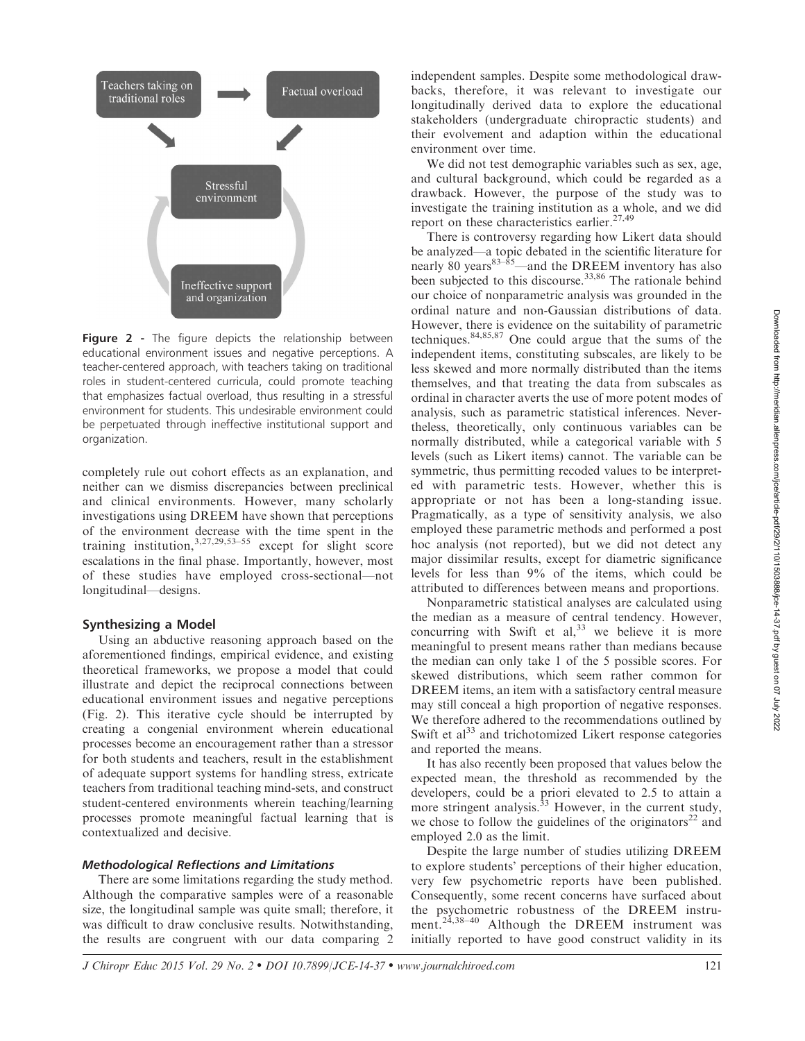

Figure 2 - The figure depicts the relationship between educational environment issues and negative perceptions. A teacher-centered approach, with teachers taking on traditional roles in student-centered curricula, could promote teaching that emphasizes factual overload, thus resulting in a stressful environment for students. This undesirable environment could be perpetuated through ineffective institutional support and organization.

completely rule out cohort effects as an explanation, and neither can we dismiss discrepancies between preclinical and clinical environments. However, many scholarly investigations using DREEM have shown that perceptions of the environment decrease with the time spent in the training institution, $3,27,29,53-55$  except for slight score escalations in the final phase. Importantly, however, most of these studies have employed cross-sectional—not longitudinal—designs.

#### Synthesizing a Model

Using an abductive reasoning approach based on the aforementioned findings, empirical evidence, and existing theoretical frameworks, we propose a model that could illustrate and depict the reciprocal connections between educational environment issues and negative perceptions (Fig. 2). This iterative cycle should be interrupted by creating a congenial environment wherein educational processes become an encouragement rather than a stressor for both students and teachers, result in the establishment of adequate support systems for handling stress, extricate teachers from traditional teaching mind-sets, and construct student-centered environments wherein teaching/learning processes promote meaningful factual learning that is contextualized and decisive.

#### Methodological Reflections and Limitations

There are some limitations regarding the study method. Although the comparative samples were of a reasonable size, the longitudinal sample was quite small; therefore, it was difficult to draw conclusive results. Notwithstanding, the results are congruent with our data comparing 2 independent samples. Despite some methodological drawbacks, therefore, it was relevant to investigate our longitudinally derived data to explore the educational stakeholders (undergraduate chiropractic students) and their evolvement and adaption within the educational environment over time.

We did not test demographic variables such as sex, age, and cultural background, which could be regarded as a drawback. However, the purpose of the study was to investigate the training institution as a whole, and we did report on these characteristics earlier.<sup>27,49</sup>

There is controversy regarding how Likert data should be analyzed—a topic debated in the scientific literature for nearly 80 years $83-\frac{8}{3}$  and the DREEM inventory has also been subjected to this discourse.<sup>33,86</sup> The rationale behind our choice of nonparametric analysis was grounded in the ordinal nature and non-Gaussian distributions of data. However, there is evidence on the suitability of parametric techniques.84,85,87 One could argue that the sums of the independent items, constituting subscales, are likely to be less skewed and more normally distributed than the items themselves, and that treating the data from subscales as ordinal in character averts the use of more potent modes of analysis, such as parametric statistical inferences. Nevertheless, theoretically, only continuous variables can be normally distributed, while a categorical variable with 5 levels (such as Likert items) cannot. The variable can be symmetric, thus permitting recoded values to be interpreted with parametric tests. However, whether this is appropriate or not has been a long-standing issue. Pragmatically, as a type of sensitivity analysis, we also employed these parametric methods and performed a post hoc analysis (not reported), but we did not detect any major dissimilar results, except for diametric significance levels for less than 9% of the items, which could be attributed to differences between means and proportions.

Nonparametric statistical analyses are calculated using the median as a measure of central tendency. However, concurring with Swift et al,  $33$  we believe it is more meaningful to present means rather than medians because the median can only take 1 of the 5 possible scores. For skewed distributions, which seem rather common for DREEM items, an item with a satisfactory central measure may still conceal a high proportion of negative responses. We therefore adhered to the recommendations outlined by Swift et  $al<sup>33</sup>$  and trichotomized Likert response categories and reported the means.

It has also recently been proposed that values below the expected mean, the threshold as recommended by the developers, could be a priori elevated to 2.5 to attain a more stringent analysis. $33$  However, in the current study, we chose to follow the guidelines of the originators<sup>22</sup> and employed 2.0 as the limit.

Despite the large number of studies utilizing DREEM to explore students' perceptions of their higher education, very few psychometric reports have been published. Consequently, some recent concerns have surfaced about the psychometric robustness of the DREEM instrument.<sup>24,38-40</sup> Although the DREEM instrument was initially reported to have good construct validity in its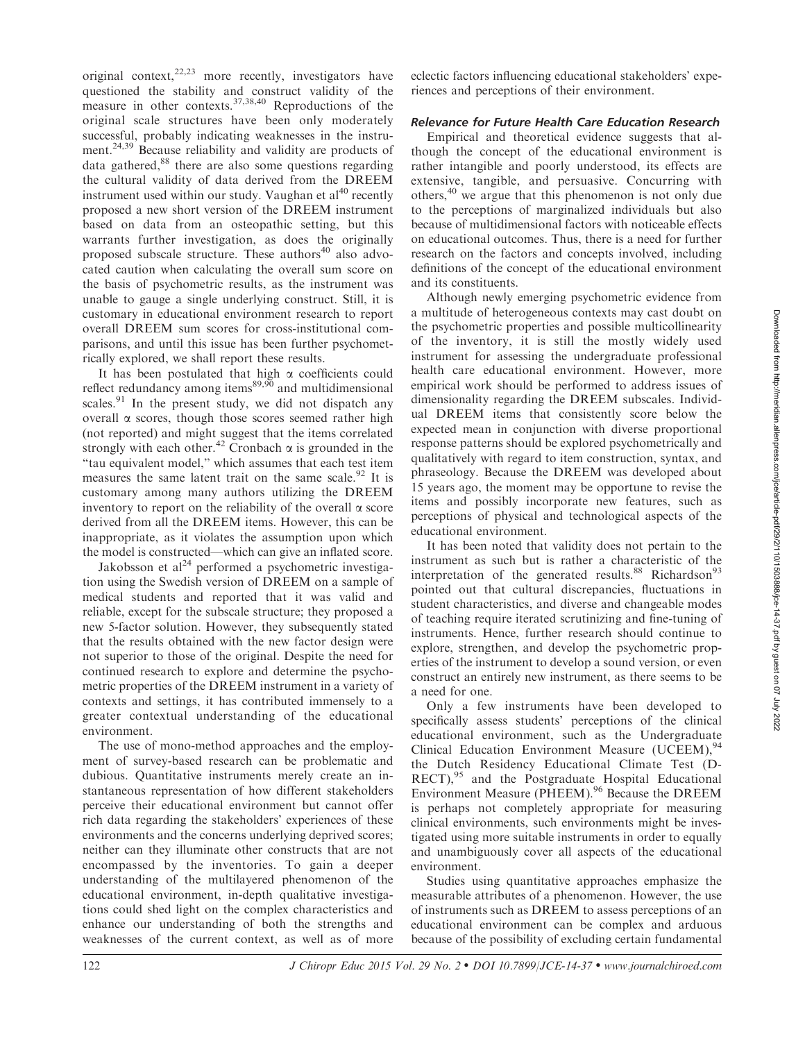original context, $22,23$  more recently, investigators have questioned the stability and construct validity of the measure in other contexts.37,38,40 Reproductions of the original scale structures have been only moderately successful, probably indicating weaknesses in the instrument.<sup>24,39</sup> Because reliability and validity are products of data gathered, $88$  there are also some questions regarding the cultural validity of data derived from the DREEM instrument used within our study. Vaughan et  $al^{40}$  recently proposed a new short version of the DREEM instrument based on data from an osteopathic setting, but this warrants further investigation, as does the originally proposed subscale structure. These authors<sup>40</sup> also advocated caution when calculating the overall sum score on the basis of psychometric results, as the instrument was unable to gauge a single underlying construct. Still, it is customary in educational environment research to report overall DREEM sum scores for cross-institutional comparisons, and until this issue has been further psychometrically explored, we shall report these results.

It has been postulated that high  $\alpha$  coefficients could reflect redundancy among items $89,90$  and multidimensional scales.<sup>91</sup> In the present study, we did not dispatch any overall  $\alpha$  scores, though those scores seemed rather high (not reported) and might suggest that the items correlated strongly with each other.<sup>42</sup> Cronbach  $\alpha$  is grounded in the ''tau equivalent model,'' which assumes that each test item measures the same latent trait on the same scale.<sup>92</sup> It is customary among many authors utilizing the DREEM inventory to report on the reliability of the overall  $\alpha$  score derived from all the DREEM items. However, this can be inappropriate, as it violates the assumption upon which the model is constructed—which can give an inflated score.

Jakobsson et  $al<sup>24</sup>$  performed a psychometric investigation using the Swedish version of DREEM on a sample of medical students and reported that it was valid and reliable, except for the subscale structure; they proposed a new 5-factor solution. However, they subsequently stated that the results obtained with the new factor design were not superior to those of the original. Despite the need for continued research to explore and determine the psychometric properties of the DREEM instrument in a variety of contexts and settings, it has contributed immensely to a greater contextual understanding of the educational environment.

The use of mono-method approaches and the employment of survey-based research can be problematic and dubious. Quantitative instruments merely create an instantaneous representation of how different stakeholders perceive their educational environment but cannot offer rich data regarding the stakeholders' experiences of these environments and the concerns underlying deprived scores; neither can they illuminate other constructs that are not encompassed by the inventories. To gain a deeper understanding of the multilayered phenomenon of the educational environment, in-depth qualitative investigations could shed light on the complex characteristics and enhance our understanding of both the strengths and weaknesses of the current context, as well as of more

eclectic factors influencing educational stakeholders' experiences and perceptions of their environment.

## Relevance for Future Health Care Education Research

Empirical and theoretical evidence suggests that although the concept of the educational environment is rather intangible and poorly understood, its effects are extensive, tangible, and persuasive. Concurring with others,<sup>40</sup> we argue that this phenomenon is not only due to the perceptions of marginalized individuals but also because of multidimensional factors with noticeable effects on educational outcomes. Thus, there is a need for further research on the factors and concepts involved, including definitions of the concept of the educational environment and its constituents.

Although newly emerging psychometric evidence from a multitude of heterogeneous contexts may cast doubt on the psychometric properties and possible multicollinearity of the inventory, it is still the mostly widely used instrument for assessing the undergraduate professional health care educational environment. However, more empirical work should be performed to address issues of dimensionality regarding the DREEM subscales. Individual DREEM items that consistently score below the expected mean in conjunction with diverse proportional response patterns should be explored psychometrically and qualitatively with regard to item construction, syntax, and phraseology. Because the DREEM was developed about 15 years ago, the moment may be opportune to revise the items and possibly incorporate new features, such as perceptions of physical and technological aspects of the educational environment.

It has been noted that validity does not pertain to the instrument as such but is rather a characteristic of the interpretation of the generated results. $88$  Richardson<sup>93</sup> pointed out that cultural discrepancies, fluctuations in student characteristics, and diverse and changeable modes of teaching require iterated scrutinizing and fine-tuning of instruments. Hence, further research should continue to explore, strengthen, and develop the psychometric properties of the instrument to develop a sound version, or even construct an entirely new instrument, as there seems to be a need for one.

Only a few instruments have been developed to specifically assess students' perceptions of the clinical educational environment, such as the Undergraduate Clinical Education Environment Measure (UCEEM),<sup>9</sup> the Dutch Residency Educational Climate Test (D- $RECT$ ,<sup>95</sup> and the Postgraduate Hospital Educational Environment Measure (PHEEM).<sup>96</sup> Because the DREEM is perhaps not completely appropriate for measuring clinical environments, such environments might be investigated using more suitable instruments in order to equally and unambiguously cover all aspects of the educational environment.

Studies using quantitative approaches emphasize the measurable attributes of a phenomenon. However, the use of instruments such as DREEM to assess perceptions of an educational environment can be complex and arduous because of the possibility of excluding certain fundamental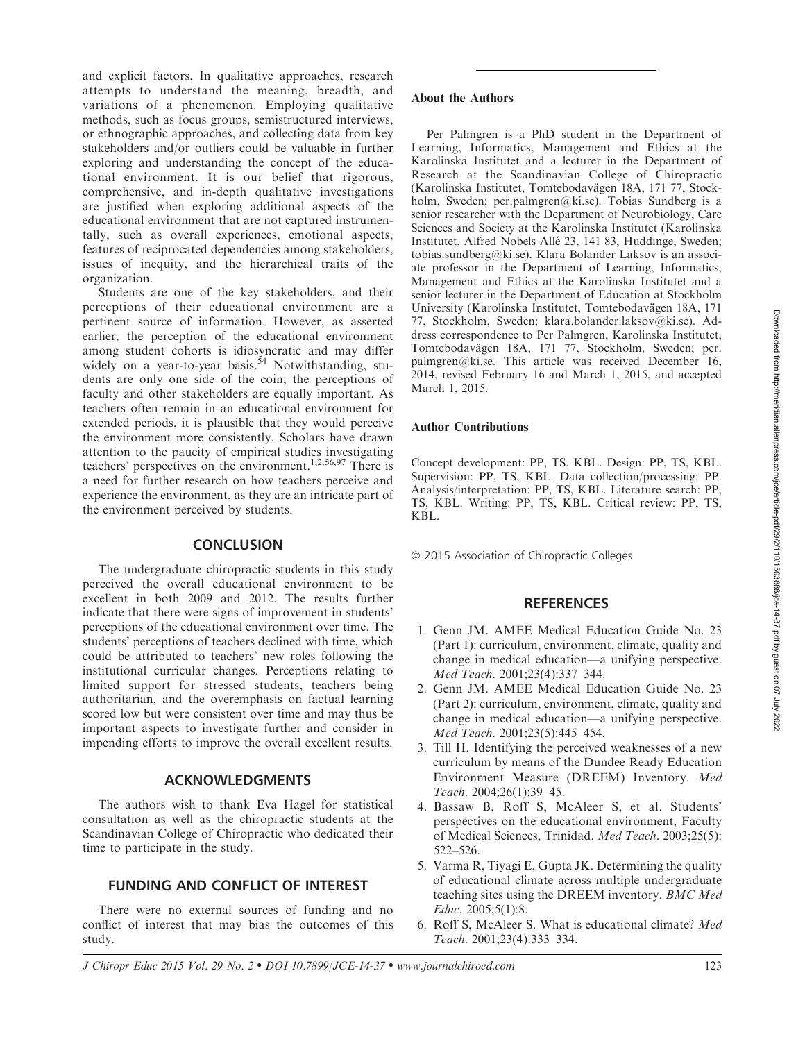and explicit factors. In qualitative approaches, research attempts to understand the meaning, breadth, and variations of a phenomenon. Employing qualitative methods, such as focus groups, semistructured interviews, or ethnographic approaches, and collecting data from key stakeholders and/or outliers could be valuable in further exploring and understanding the concept of the educational environment. It is our belief that rigorous, comprehensive, and in-depth qualitative investigations are justified when exploring additional aspects of the educational environment that are not captured instrumentally, such as overall experiences, emotional aspects, features of reciprocated dependencies among stakeholders, issues of inequity, and the hierarchical traits of the organization.

Students are one of the key stakeholders, and their perceptions of their educational environment are a pertinent source of information. However, as asserted earlier, the perception of the educational environment among student cohorts is idiosyncratic and may differ widely on a year-to-year basis.<sup>54</sup> Notwithstanding, students are only one side of the coin; the perceptions of faculty and other stakeholders are equally important. As teachers often remain in an educational environment for extended periods, it is plausible that they would perceive the environment more consistently. Scholars have drawn attention to the paucity of empirical studies investigating teachers' perspectives on the environment.<sup>1,2,56,97</sup> There is a need for further research on how teachers perceive and experience the environment, as they are an intricate part of the environment perceived by students.

## **CONCLUSION**

The undergraduate chiropractic students in this study perceived the overall educational environment to be excellent in both 2009 and 2012. The results further indicate that there were signs of improvement in students' perceptions of the educational environment over time. The students' perceptions of teachers declined with time, which could be attributed to teachers' new roles following the institutional curricular changes. Perceptions relating to limited support for stressed students, teachers being authoritarian, and the overemphasis on factual learning scored low but were consistent over time and may thus be important aspects to investigate further and consider in impending efforts to improve the overall excellent results.

## ACKNOWLEDGMENTS

The authors wish to thank Eva Hagel for statistical consultation as well as the chiropractic students at the Scandinavian College of Chiropractic who dedicated their time to participate in the study.

## FUNDING AND CONFLICT OF INTEREST

There were no external sources of funding and no conflict of interest that may bias the outcomes of this study.

## About the Authors

Per Palmgren is a PhD student in the Department of Learning, Informatics, Management and Ethics at the Karolinska Institutet and a lecturer in the Department of Research at the Scandinavian College of Chiropractic (Karolinska Institutet, Tomtebodavägen 18A, 171 77, Stockholm, Sweden; per.palmgren@ki.se). Tobias Sundberg is a senior researcher with the Department of Neurobiology, Care Sciences and Society at the Karolinska Institutet (Karolinska Institutet, Alfred Nobels Allé 23, 141 83, Huddinge, Sweden; tobias.sundberg@ki.se). Klara Bolander Laksov is an associate professor in the Department of Learning, Informatics, Management and Ethics at the Karolinska Institutet and a senior lecturer in the Department of Education at Stockholm University (Karolinska Institutet, Tomtebodavägen 18A, 171 77, Stockholm, Sweden; klara.bolander.laksov@ki.se). Address correspondence to Per Palmgren, Karolinska Institutet, Tomtebodavägen 18A, 171 77, Stockholm, Sweden; per. palmgren@ki.se. This article was received December 16, 2014, revised February 16 and March 1, 2015, and accepted March 1, 2015.

#### Author Contributions

Concept development: PP, TS, KBL. Design: PP, TS, KBL. Supervision: PP, TS, KBL. Data collection/processing: PP. Analysis/interpretation: PP, TS, KBL. Literature search: PP, TS, KBL. Writing: PP, TS, KBL. Critical review: PP, TS, KBL.

- 2015 Association of Chiropractic Colleges

#### **REFERENCES**

- 1. Genn JM. AMEE Medical Education Guide No. 23 (Part 1): curriculum, environment, climate, quality and change in medical education—a unifying perspective. Med Teach. 2001;23(4):337–344.
- 2. Genn JM. AMEE Medical Education Guide No. 23 (Part 2): curriculum, environment, climate, quality and change in medical education—a unifying perspective. Med Teach. 2001;23(5):445–454.
- 3. Till H. Identifying the perceived weaknesses of a new curriculum by means of the Dundee Ready Education Environment Measure (DREEM) Inventory. Med Teach. 2004;26(1):39–45.
- 4. Bassaw B, Roff S, McAleer S, et al. Students' perspectives on the educational environment, Faculty of Medical Sciences, Trinidad. Med Teach. 2003;25(5): 522–526.
- 5. Varma R, Tiyagi E, Gupta JK. Determining the quality of educational climate across multiple undergraduate teaching sites using the DREEM inventory. BMC Med Educ. 2005;5(1):8.
- 6. Roff S, McAleer S. What is educational climate? Med Teach. 2001;23(4):333–334.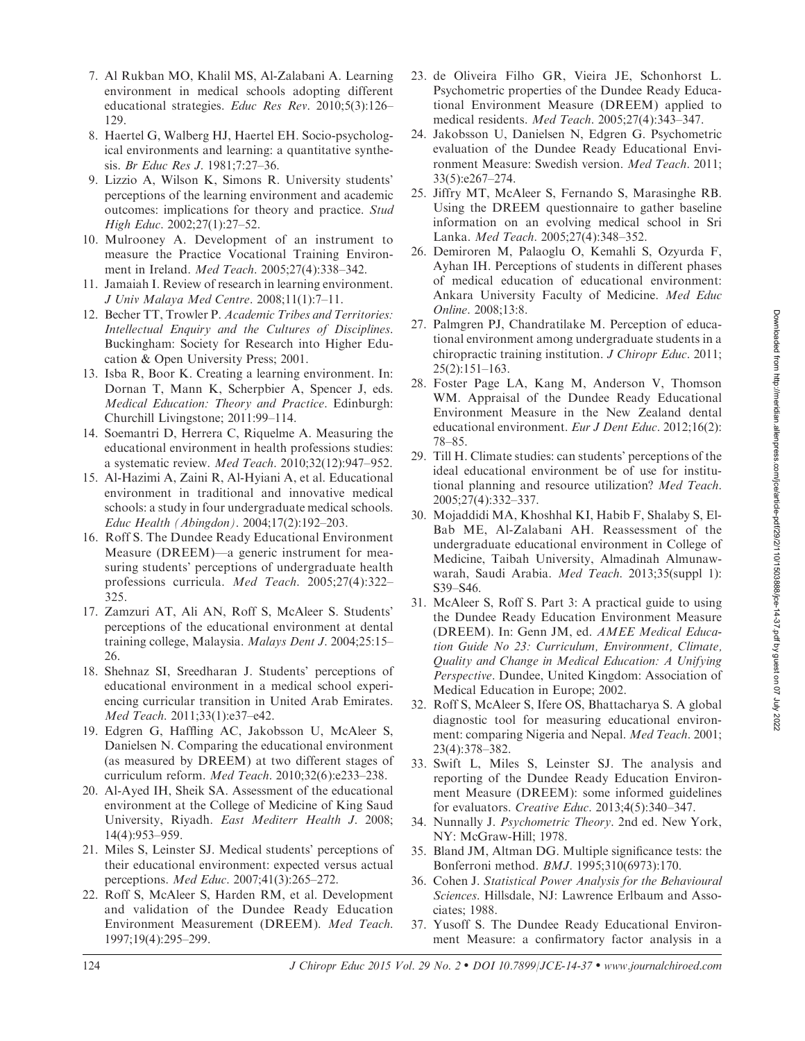- 7. Al Rukban MO, Khalil MS, Al-Zalabani A. Learning environment in medical schools adopting different educational strategies. Educ Res Rev. 2010;5(3):126– 129.
- 8. Haertel G, Walberg HJ, Haertel EH. Socio-psychological environments and learning: a quantitative synthesis. Br Educ Res J. 1981;7:27–36.
- 9. Lizzio A, Wilson K, Simons R. University students' perceptions of the learning environment and academic outcomes: implications for theory and practice. Stud High Educ. 2002;27(1):27–52.
- 10. Mulrooney A. Development of an instrument to measure the Practice Vocational Training Environment in Ireland. Med Teach. 2005;27(4):338–342.
- 11. Jamaiah I. Review of research in learning environment. J Univ Malaya Med Centre. 2008;11(1):7–11.
- 12. Becher TT, Trowler P. Academic Tribes and Territories: Intellectual Enquiry and the Cultures of Disciplines. Buckingham: Society for Research into Higher Education & Open University Press; 2001.
- 13. Isba R, Boor K. Creating a learning environment. In: Dornan T, Mann K, Scherpbier A, Spencer J, eds. Medical Education: Theory and Practice. Edinburgh: Churchill Livingstone; 2011:99–114.
- 14. Soemantri D, Herrera C, Riquelme A. Measuring the educational environment in health professions studies: a systematic review. Med Teach. 2010;32(12):947–952.
- 15. Al-Hazimi A, Zaini R, Al-Hyiani A, et al. Educational environment in traditional and innovative medical schools: a study in four undergraduate medical schools. Educ Health (Abingdon). 2004;17(2):192–203.
- 16. Roff S. The Dundee Ready Educational Environment Measure (DREEM)—a generic instrument for measuring students' perceptions of undergraduate health professions curricula. Med Teach. 2005;27(4):322– 325.
- 17. Zamzuri AT, Ali AN, Roff S, McAleer S. Students' perceptions of the educational environment at dental training college, Malaysia. Malays Dent J. 2004;25:15– 26.
- 18. Shehnaz SI, Sreedharan J. Students' perceptions of educational environment in a medical school experiencing curricular transition in United Arab Emirates. Med Teach. 2011;33(1):e37–e42.
- 19. Edgren G, Haffling AC, Jakobsson U, McAleer S, Danielsen N. Comparing the educational environment (as measured by DREEM) at two different stages of curriculum reform. Med Teach. 2010;32(6):e233–238.
- 20. Al-Ayed IH, Sheik SA. Assessment of the educational environment at the College of Medicine of King Saud University, Riyadh. East Mediterr Health J. 2008; 14(4):953–959.
- 21. Miles S, Leinster SJ. Medical students' perceptions of their educational environment: expected versus actual perceptions. Med Educ. 2007;41(3):265–272.
- 22. Roff S, McAleer S, Harden RM, et al. Development and validation of the Dundee Ready Education Environment Measurement (DREEM). Med Teach. 1997;19(4):295–299.
- 23. de Oliveira Filho GR, Vieira JE, Schonhorst L. Psychometric properties of the Dundee Ready Educational Environment Measure (DREEM) applied to medical residents. Med Teach. 2005;27(4):343–347.
- 24. Jakobsson U, Danielsen N, Edgren G. Psychometric evaluation of the Dundee Ready Educational Environment Measure: Swedish version. Med Teach. 2011; 33(5):e267–274.
- 25. Jiffry MT, McAleer S, Fernando S, Marasinghe RB. Using the DREEM questionnaire to gather baseline information on an evolving medical school in Sri Lanka. Med Teach. 2005;27(4):348–352.
- 26. Demiroren M, Palaoglu O, Kemahli S, Ozyurda F, Ayhan IH. Perceptions of students in different phases of medical education of educational environment: Ankara University Faculty of Medicine. Med Educ Online. 2008;13:8.
- 27. Palmgren PJ, Chandratilake M. Perception of educational environment among undergraduate students in a chiropractic training institution. J Chiropr Educ. 2011; 25(2):151–163.
- 28. Foster Page LA, Kang M, Anderson V, Thomson WM. Appraisal of the Dundee Ready Educational Environment Measure in the New Zealand dental educational environment. Eur J Dent Educ. 2012;16(2): 78–85.
- 29. Till H. Climate studies: can students' perceptions of the ideal educational environment be of use for institutional planning and resource utilization? Med Teach. 2005;27(4):332–337.
- 30. Mojaddidi MA, Khoshhal KI, Habib F, Shalaby S, El-Bab ME, Al-Zalabani AH. Reassessment of the undergraduate educational environment in College of Medicine, Taibah University, Almadinah Almunawwarah, Saudi Arabia. Med Teach. 2013;35(suppl 1): S39–S46.
- 31. McAleer S, Roff S. Part 3: A practical guide to using the Dundee Ready Education Environment Measure (DREEM). In: Genn JM, ed. AMEE Medical Education Guide No 23: Curriculum, Environment, Climate, Quality and Change in Medical Education: A Unifying Perspective. Dundee, United Kingdom: Association of Medical Education in Europe; 2002.
- 32. Roff S, McAleer S, Ifere OS, Bhattacharya S. A global diagnostic tool for measuring educational environment: comparing Nigeria and Nepal. Med Teach. 2001; 23(4):378–382.
- 33. Swift L, Miles S, Leinster SJ. The analysis and reporting of the Dundee Ready Education Environment Measure (DREEM): some informed guidelines for evaluators. Creative Educ. 2013;4(5):340–347.
- 34. Nunnally J. Psychometric Theory. 2nd ed. New York, NY: McGraw-Hill; 1978.
- 35. Bland JM, Altman DG. Multiple significance tests: the Bonferroni method. BMJ. 1995;310(6973):170.
- 36. Cohen J. Statistical Power Analysis for the Behavioural Sciences. Hillsdale, NJ: Lawrence Erlbaum and Associates; 1988.
- 37. Yusoff S. The Dundee Ready Educational Environment Measure: a confirmatory factor analysis in a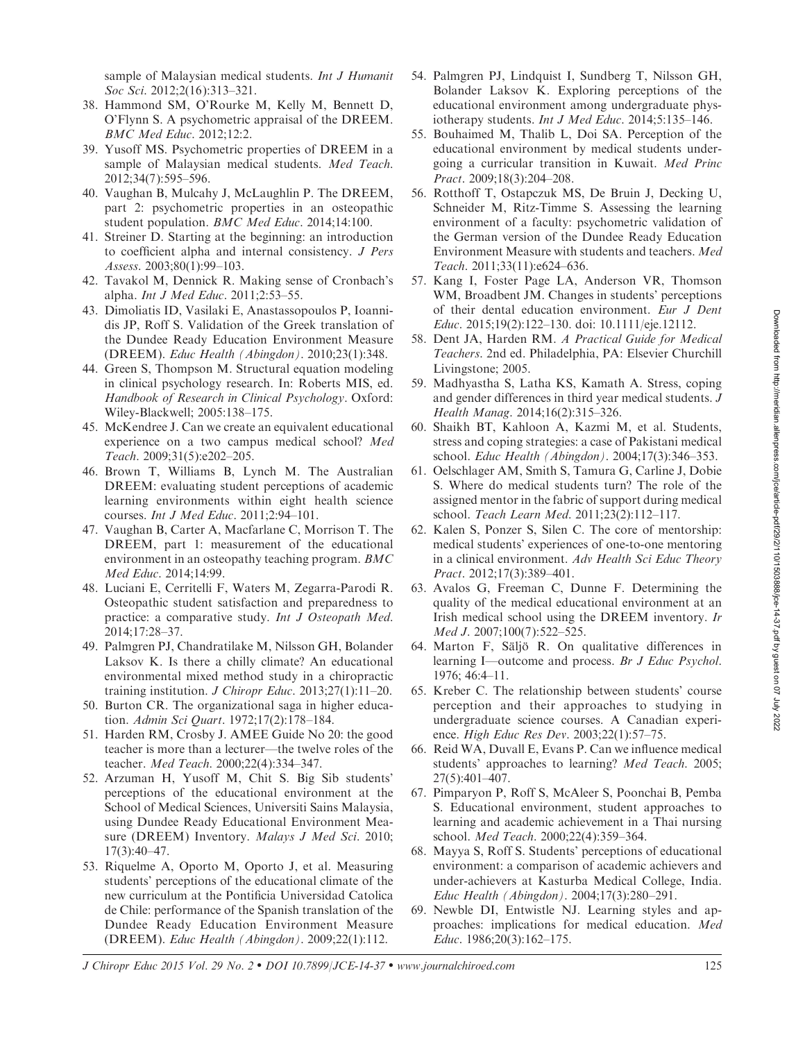sample of Malaysian medical students. Int J Humanit Soc Sci. 2012;2(16):313-321.

- 38. Hammond SM, O'Rourke M, Kelly M, Bennett D, O'Flynn S. A psychometric appraisal of the DREEM. BMC Med Educ. 2012;12:2.
- 39. Yusoff MS. Psychometric properties of DREEM in a sample of Malaysian medical students. Med Teach. 2012;34(7):595–596.
- 40. Vaughan B, Mulcahy J, McLaughlin P. The DREEM, part 2: psychometric properties in an osteopathic student population. BMC Med Educ. 2014;14:100.
- 41. Streiner D. Starting at the beginning: an introduction to coefficient alpha and internal consistency. J Pers Assess. 2003;80(1):99–103.
- 42. Tavakol M, Dennick R. Making sense of Cronbach's alpha. Int J Med Educ. 2011;2:53–55.
- 43. Dimoliatis ID, Vasilaki E, Anastassopoulos P, Ioannidis JP, Roff S. Validation of the Greek translation of the Dundee Ready Education Environment Measure (DREEM). Educ Health (Abingdon). 2010;23(1):348.
- 44. Green S, Thompson M. Structural equation modeling in clinical psychology research. In: Roberts MIS, ed. Handbook of Research in Clinical Psychology. Oxford: Wiley-Blackwell; 2005:138–175.
- 45. McKendree J. Can we create an equivalent educational experience on a two campus medical school? Med Teach. 2009;31(5):e202–205.
- 46. Brown T, Williams B, Lynch M. The Australian DREEM: evaluating student perceptions of academic learning environments within eight health science courses. Int J Med Educ. 2011;2:94–101.
- 47. Vaughan B, Carter A, Macfarlane C, Morrison T. The DREEM, part 1: measurement of the educational environment in an osteopathy teaching program. BMC Med Educ. 2014;14:99.
- 48. Luciani E, Cerritelli F, Waters M, Zegarra-Parodi R. Osteopathic student satisfaction and preparedness to practice: a comparative study. Int J Osteopath Med. 2014;17:28–37.
- 49. Palmgren PJ, Chandratilake M, Nilsson GH, Bolander Laksov K. Is there a chilly climate? An educational environmental mixed method study in a chiropractic training institution. *J Chiropr Educ*. 2013;27(1):11–20.
- 50. Burton CR. The organizational saga in higher education. Admin Sci Quart. 1972;17(2):178–184.
- 51. Harden RM, Crosby J. AMEE Guide No 20: the good teacher is more than a lecturer—the twelve roles of the teacher. Med Teach. 2000;22(4):334–347.
- 52. Arzuman H, Yusoff M, Chit S. Big Sib students' perceptions of the educational environment at the School of Medical Sciences, Universiti Sains Malaysia, using Dundee Ready Educational Environment Measure (DREEM) Inventory. Malays J Med Sci. 2010; 17(3):40–47.
- 53. Riquelme A, Oporto M, Oporto J, et al. Measuring students' perceptions of the educational climate of the new curriculum at the Pontificia Universidad Catolica de Chile: performance of the Spanish translation of the Dundee Ready Education Environment Measure (DREEM). Educ Health (Abingdon). 2009;22(1):112.
- 54. Palmgren PJ, Lindquist I, Sundberg T, Nilsson GH, Bolander Laksov K. Exploring perceptions of the educational environment among undergraduate physiotherapy students. Int J Med Educ. 2014;5:135–146.
- 55. Bouhaimed M, Thalib L, Doi SA. Perception of the educational environment by medical students undergoing a curricular transition in Kuwait. Med Princ Pract. 2009;18(3):204–208.
- 56. Rotthoff T, Ostapczuk MS, De Bruin J, Decking U, Schneider M, Ritz-Timme S. Assessing the learning environment of a faculty: psychometric validation of the German version of the Dundee Ready Education Environment Measure with students and teachers. Med Teach. 2011;33(11):e624–636.
- 57. Kang I, Foster Page LA, Anderson VR, Thomson WM, Broadbent JM. Changes in students' perceptions of their dental education environment. Eur J Dent Educ. 2015;19(2):122–130. doi: 10.1111/eje.12112.
- 58. Dent JA, Harden RM. A Practical Guide for Medical Teachers. 2nd ed. Philadelphia, PA: Elsevier Churchill Livingstone; 2005.
- 59. Madhyastha S, Latha KS, Kamath A. Stress, coping and gender differences in third year medical students. J Health Manag. 2014;16(2):315–326.
- 60. Shaikh BT, Kahloon A, Kazmi M, et al. Students, stress and coping strategies: a case of Pakistani medical school. Educ Health (Abingdon). 2004;17(3):346–353.
- 61. Oelschlager AM, Smith S, Tamura G, Carline J, Dobie S. Where do medical students turn? The role of the assigned mentor in the fabric of support during medical school. Teach Learn Med. 2011;23(2):112–117.
- 62. Kalen S, Ponzer S, Silen C. The core of mentorship: medical students' experiences of one-to-one mentoring in a clinical environment. Adv Health Sci Educ Theory Pract. 2012;17(3):389–401.
- 63. Avalos G, Freeman C, Dunne F. Determining the quality of the medical educational environment at an Irish medical school using the DREEM inventory. Ir Med J. 2007;100(7):522–525.
- 64. Marton F, Säljö R. On qualitative differences in learning I—outcome and process. Br J Educ Psychol. 1976; 46:4–11.
- 65. Kreber C. The relationship between students' course perception and their approaches to studying in undergraduate science courses. A Canadian experience. High Educ Res Dev. 2003;22(1):57–75.
- 66. Reid WA, Duvall E, Evans P. Can we influence medical students' approaches to learning? Med Teach. 2005; 27(5):401–407.
- 67. Pimparyon P, Roff S, McAleer S, Poonchai B, Pemba S. Educational environment, student approaches to learning and academic achievement in a Thai nursing school. Med Teach. 2000;22(4):359–364.
- 68. Mayya S, Roff S. Students' perceptions of educational environment: a comparison of academic achievers and under-achievers at Kasturba Medical College, India. Educ Health (Abingdon). 2004;17(3):280–291.
- 69. Newble DI, Entwistle NJ. Learning styles and approaches: implications for medical education. Med Educ. 1986;20(3):162–175.